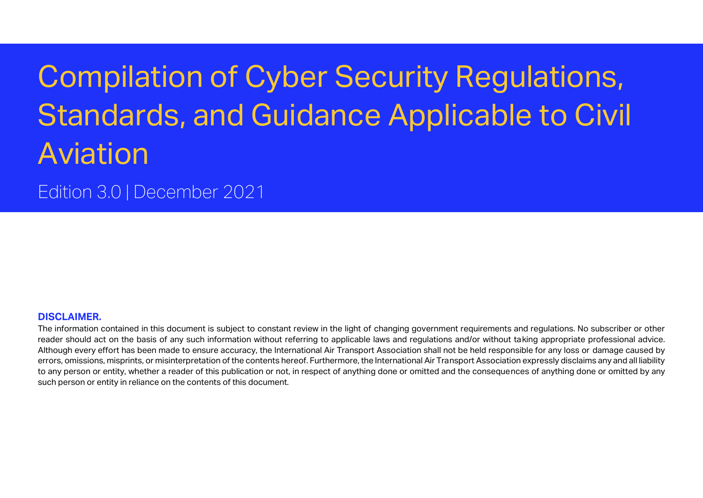# Compilation of Cyber Security Regulations, Standards, and Guidance Applicable to Civil Aviation

Edition 3.0 | December 2021

### **DISCLAIMER.**

The information contained in this document is subject to constant review in the light of changing government requirements and regulations. No subscriber or other reader should act on the basis of any such information without referring to applicable laws and regulations and/or without taking appropriate professional advice. Although every effort has been made to ensure accuracy, the International Air Transport Association shall not be held responsible for any loss or damage caused by errors, omissions, misprints, or misinterpretation of the contents hereof. Furthermore, the International Air Transport Association expressly disclaims any and all liability to any person or entity, whether a reader of this publication or not, in respect of anything done or omitted and the consequences of anything done or omitted by any such person or entity in reliance on the contents of this document.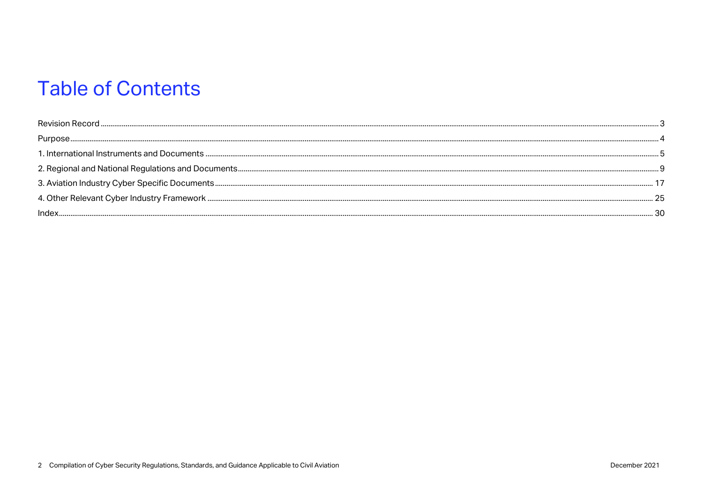## **Table of Contents**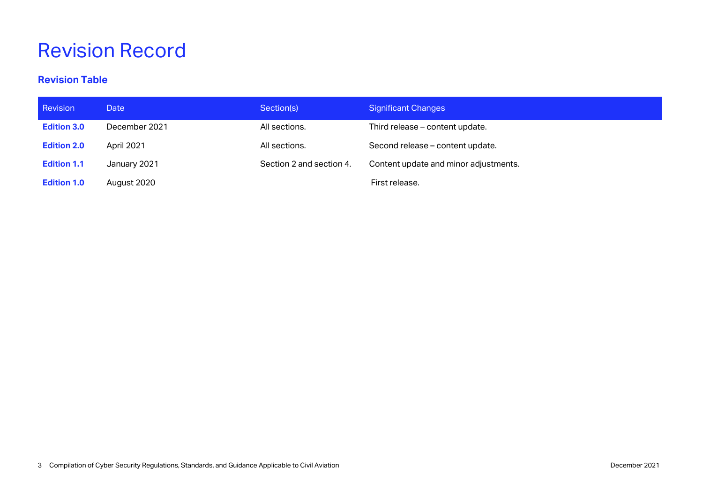# <span id="page-2-0"></span>Revision Record

### **Revision Table**

| Revision           | Date          | Section(s)               | <b>Significant Changes</b>            |
|--------------------|---------------|--------------------------|---------------------------------------|
| <b>Edition 3.0</b> | December 2021 | All sections.            | Third release - content update.       |
| <b>Edition 2.0</b> | April 2021    | All sections.            | Second release – content update.      |
| <b>Edition 1.1</b> | January 2021  | Section 2 and section 4. | Content update and minor adjustments. |
| <b>Edition 1.0</b> | August 2020   |                          | First release.                        |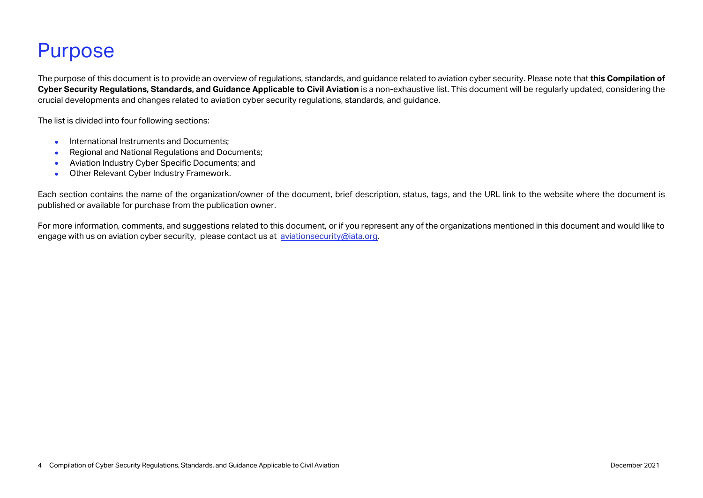## <span id="page-3-0"></span>Purpose

The purpose of this document is to provide an overview of regulations, standards, and guidance related to aviation cyber security. Please note that **this Compilation of Cyber Security Regulations, Standards, and Guidance Applicable to Civil Aviation** is a non-exhaustive list. This document will be regularly updated, considering the crucial developments and changes related to aviation cyber security regulations, standards, and guidance.

The list is divided into four following sections:

- International Instruments and Documents;
- Regional and National Regulations and Documents;
- Aviation Industry Cyber Specific Documents; and
- Other Relevant Cyber Industry Framework.

Each section contains the name of the organization/owner of the document, brief description, status, tags, and the URL link to the website where the document is published or available for purchase from the publication owner.

For more information, comments, and suggestions related to this document, or if you represent any of the organizations mentioned in this document and would like to engage with us on aviation cyber security, please contact us at [aviationsecurity@iata.org.](mailto:aviationsecurity@iata.org)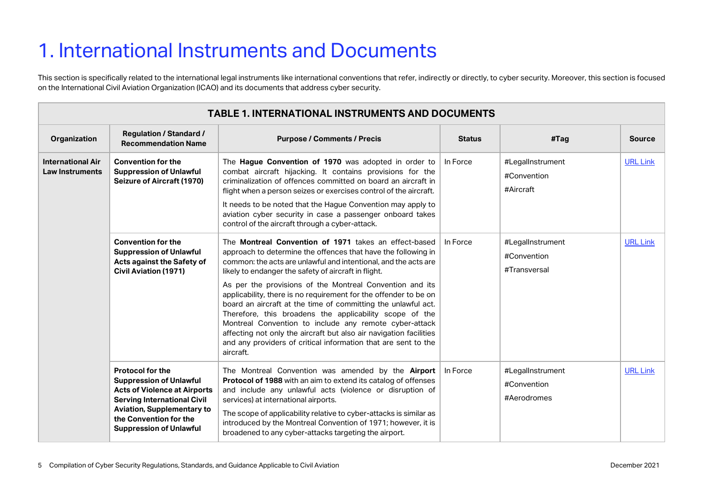# <span id="page-4-0"></span>1. International Instruments and Documents

This section is specifically related to the international legal instruments like international conventions that refer, indirectly or directly, to cyber security. Moreover, this section is focused on the International Civil Aviation Organization (ICAO) and its documents that address cyber security.

| <b>TABLE 1. INTERNATIONAL INSTRUMENTS AND DOCUMENTS</b> |                                                                                                                                                                                                                                         |                                                                                                                                                                                                                                                                                                                                                                                                                                                                                                                                                                                                                                                                                                                              |               |                                                 |                 |  |
|---------------------------------------------------------|-----------------------------------------------------------------------------------------------------------------------------------------------------------------------------------------------------------------------------------------|------------------------------------------------------------------------------------------------------------------------------------------------------------------------------------------------------------------------------------------------------------------------------------------------------------------------------------------------------------------------------------------------------------------------------------------------------------------------------------------------------------------------------------------------------------------------------------------------------------------------------------------------------------------------------------------------------------------------------|---------------|-------------------------------------------------|-----------------|--|
| Organization                                            | <b>Regulation / Standard /</b><br><b>Recommendation Name</b>                                                                                                                                                                            | <b>Purpose / Comments / Precis</b>                                                                                                                                                                                                                                                                                                                                                                                                                                                                                                                                                                                                                                                                                           | <b>Status</b> | #Tag                                            | <b>Source</b>   |  |
| <b>International Air</b><br><b>Law Instruments</b>      | <b>Convention for the</b><br><b>Suppression of Unlawful</b><br><b>Seizure of Aircraft (1970)</b>                                                                                                                                        | The Hague Convention of 1970 was adopted in order to<br>combat aircraft hijacking. It contains provisions for the<br>criminalization of offences committed on board an aircraft in<br>flight when a person seizes or exercises control of the aircraft.<br>It needs to be noted that the Hague Convention may apply to<br>aviation cyber security in case a passenger onboard takes<br>control of the aircraft through a cyber-attack.                                                                                                                                                                                                                                                                                       | In Force      | #LegalInstrument<br>#Convention<br>#Aircraft    | <b>URL Link</b> |  |
|                                                         | <b>Convention for the</b><br><b>Suppression of Unlawful</b><br>Acts against the Safety of<br><b>Civil Aviation (1971)</b>                                                                                                               | The Montreal Convention of 1971 takes an effect-based<br>approach to determine the offences that have the following in<br>common: the acts are unlawful and intentional, and the acts are<br>likely to endanger the safety of aircraft in flight.<br>As per the provisions of the Montreal Convention and its<br>applicability, there is no requirement for the offender to be on<br>board an aircraft at the time of committing the unlawful act.<br>Therefore, this broadens the applicability scope of the<br>Montreal Convention to include any remote cyber-attack<br>affecting not only the aircraft but also air navigation facilities<br>and any providers of critical information that are sent to the<br>aircraft. | In Force      | #LegalInstrument<br>#Convention<br>#Transversal | <b>URL Link</b> |  |
|                                                         | <b>Protocol for the</b><br><b>Suppression of Unlawful</b><br><b>Acts of Violence at Airports</b><br><b>Serving International Civil</b><br><b>Aviation, Supplementary to</b><br>the Convention for the<br><b>Suppression of Unlawful</b> | The Montreal Convention was amended by the Airport<br>Protocol of 1988 with an aim to extend its catalog of offenses<br>and include any unlawful acts (violence or disruption of<br>services) at international airports.<br>The scope of applicability relative to cyber-attacks is similar as<br>introduced by the Montreal Convention of 1971; however, it is<br>broadened to any cyber-attacks targeting the airport.                                                                                                                                                                                                                                                                                                     | In Force      | #LegalInstrument<br>#Convention<br>#Aerodromes  | <b>URL Link</b> |  |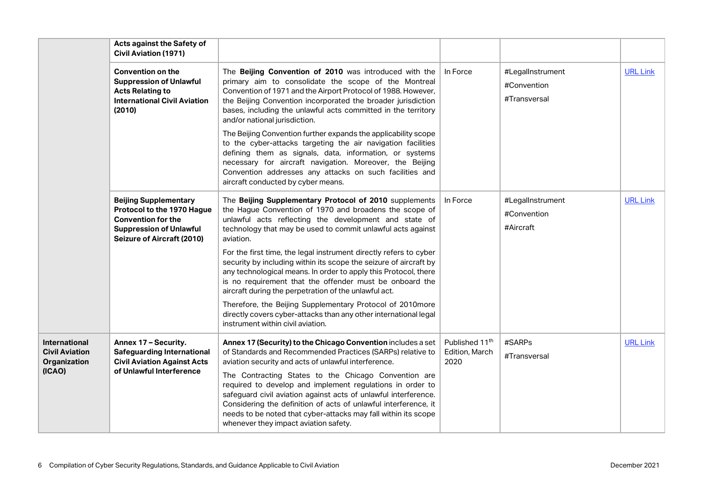|                                                                         | Acts against the Safety of<br><b>Civil Aviation (1971)</b>                                                                                                     |                                                                                                                                                                                                                                                                                                                                                                    |                                                      |                                                 |                 |
|-------------------------------------------------------------------------|----------------------------------------------------------------------------------------------------------------------------------------------------------------|--------------------------------------------------------------------------------------------------------------------------------------------------------------------------------------------------------------------------------------------------------------------------------------------------------------------------------------------------------------------|------------------------------------------------------|-------------------------------------------------|-----------------|
|                                                                         | <b>Convention on the</b><br><b>Suppression of Unlawful</b><br><b>Acts Relating to</b><br><b>International Civil Aviation</b><br>(2010)                         | The Beijing Convention of 2010 was introduced with the<br>primary aim to consolidate the scope of the Montreal<br>Convention of 1971 and the Airport Protocol of 1988. However,<br>the Beijing Convention incorporated the broader jurisdiction<br>bases, including the unlawful acts committed in the territory<br>and/or national jurisdiction.                  | In Force                                             | #LegalInstrument<br>#Convention<br>#Transversal | <b>URL Link</b> |
|                                                                         |                                                                                                                                                                | The Beijing Convention further expands the applicability scope<br>to the cyber-attacks targeting the air navigation facilities<br>defining them as signals, data, information, or systems<br>necessary for aircraft navigation. Moreover, the Beijing<br>Convention addresses any attacks on such facilities and<br>aircraft conducted by cyber means.             |                                                      |                                                 |                 |
|                                                                         | <b>Beijing Supplementary</b><br>Protocol to the 1970 Hague<br><b>Convention for the</b><br><b>Suppression of Unlawful</b><br><b>Seizure of Aircraft (2010)</b> | The Beijing Supplementary Protocol of 2010 supplements<br>the Hague Convention of 1970 and broadens the scope of<br>unlawful acts reflecting the development and state of<br>technology that may be used to commit unlawful acts against<br>aviation.                                                                                                              | In Force                                             | #LegalInstrument<br>#Convention<br>#Aircraft    | <b>URL Link</b> |
|                                                                         |                                                                                                                                                                | For the first time, the legal instrument directly refers to cyber<br>security by including within its scope the seizure of aircraft by<br>any technological means. In order to apply this Protocol, there<br>is no requirement that the offender must be onboard the<br>aircraft during the perpetration of the unlawful act.                                      |                                                      |                                                 |                 |
|                                                                         |                                                                                                                                                                | Therefore, the Beijing Supplementary Protocol of 2010more<br>directly covers cyber-attacks than any other international legal<br>instrument within civil aviation.                                                                                                                                                                                                 |                                                      |                                                 |                 |
| <b>International</b><br><b>Civil Aviation</b><br>Organization<br>(ICAO) | Annex 17 - Security.<br><b>Safeguarding International</b><br><b>Civil Aviation Against Acts</b><br>of Unlawful Interference                                    | Annex 17 (Security) to the Chicago Convention includes a set<br>of Standards and Recommended Practices (SARPs) relative to<br>aviation security and acts of unlawful interference.                                                                                                                                                                                 | Published 11 <sup>th</sup><br>Edition, March<br>2020 | #SARPs<br>#Transversal                          | <b>URL Link</b> |
|                                                                         |                                                                                                                                                                | The Contracting States to the Chicago Convention are<br>required to develop and implement regulations in order to<br>safeguard civil aviation against acts of unlawful interference.<br>Considering the definition of acts of unlawful interference, it<br>needs to be noted that cyber-attacks may fall within its scope<br>whenever they impact aviation safety. |                                                      |                                                 |                 |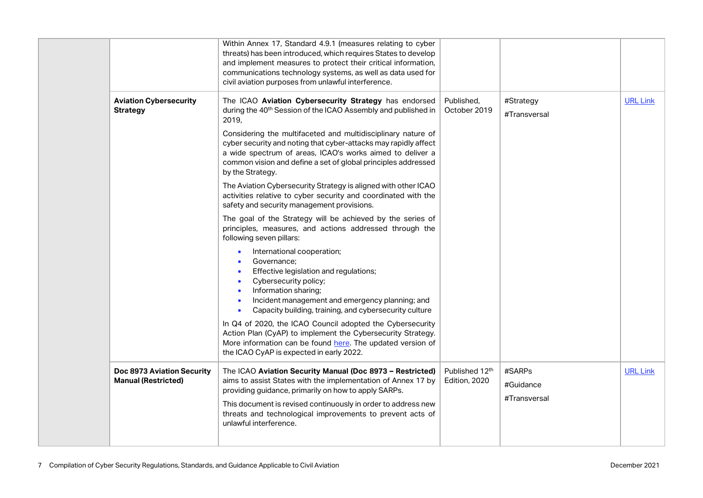|                                                          | Within Annex 17, Standard 4.9.1 (measures relating to cyber<br>threats) has been introduced, which requires States to develop<br>and implement measures to protect their critical information,<br>communications technology systems, as well as data used for<br>civil aviation purposes from unlawful interference.                                                                                                                                                                                                                                                                                                                                                                                                                                                                                                                                                                                                                                                                                                                                                                                                                                                                                                                                               |                                 |                                     |                 |
|----------------------------------------------------------|--------------------------------------------------------------------------------------------------------------------------------------------------------------------------------------------------------------------------------------------------------------------------------------------------------------------------------------------------------------------------------------------------------------------------------------------------------------------------------------------------------------------------------------------------------------------------------------------------------------------------------------------------------------------------------------------------------------------------------------------------------------------------------------------------------------------------------------------------------------------------------------------------------------------------------------------------------------------------------------------------------------------------------------------------------------------------------------------------------------------------------------------------------------------------------------------------------------------------------------------------------------------|---------------------------------|-------------------------------------|-----------------|
| <b>Aviation Cybersecurity</b><br><b>Strategy</b>         | The ICAO Aviation Cybersecurity Strategy has endorsed<br>during the 40 <sup>th</sup> Session of the ICAO Assembly and published in<br>2019.<br>Considering the multifaceted and multidisciplinary nature of<br>cyber security and noting that cyber-attacks may rapidly affect<br>a wide spectrum of areas, ICAO's works aimed to deliver a<br>common vision and define a set of global principles addressed<br>by the Strategy.<br>The Aviation Cybersecurity Strategy is aligned with other ICAO<br>activities relative to cyber security and coordinated with the<br>safety and security management provisions.<br>The goal of the Strategy will be achieved by the series of<br>principles, measures, and actions addressed through the<br>following seven pillars:<br>International cooperation;<br>Governance;<br>Effective legislation and regulations;<br>Cybersecurity policy;<br>Information sharing;<br>Incident management and emergency planning; and<br>Capacity building, training, and cybersecurity culture<br>In Q4 of 2020, the ICAO Council adopted the Cybersecurity<br>Action Plan (CyAP) to implement the Cybersecurity Strategy.<br>More information can be found here. The updated version of<br>the ICAO CyAP is expected in early 2022. | Published.<br>October 2019      | #Strategy<br>#Transversal           | <b>URL Link</b> |
| Doc 8973 Aviation Security<br><b>Manual (Restricted)</b> | The ICAO Aviation Security Manual (Doc 8973 - Restricted)<br>aims to assist States with the implementation of Annex 17 by<br>providing guidance, primarily on how to apply SARPs.<br>This document is revised continuously in order to address new<br>threats and technological improvements to prevent acts of<br>unlawful interference.                                                                                                                                                                                                                                                                                                                                                                                                                                                                                                                                                                                                                                                                                                                                                                                                                                                                                                                          | Published 12th<br>Edition, 2020 | #SARPs<br>#Guidance<br>#Transversal | <b>URL Link</b> |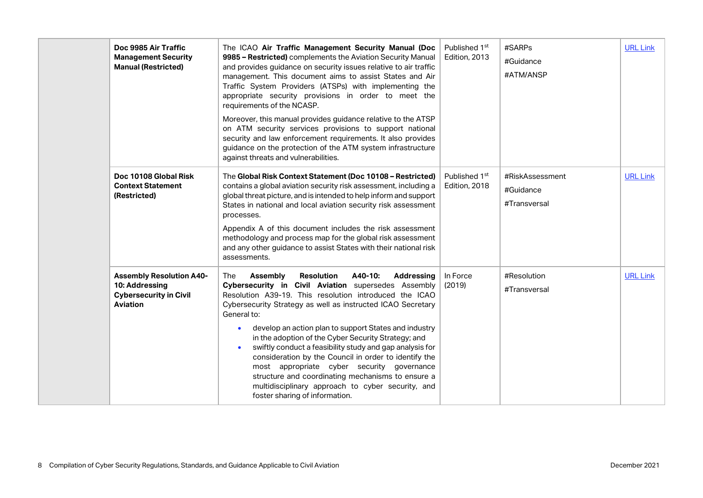| Doc 9985 Air Traffic<br><b>Management Security</b><br><b>Manual (Restricted)</b>                      | The ICAO Air Traffic Management Security Manual (Doc<br>9985 - Restricted) complements the Aviation Security Manual<br>and provides guidance on security issues relative to air traffic<br>management. This document aims to assist States and Air<br>Traffic System Providers (ATSPs) with implementing the<br>appropriate security provisions in order to meet the<br>requirements of the NCASP.                                                                                                                                                                                                                                                                                                       | Published 1 <sup>st</sup><br>Edition, 2013 | #SARPs<br>#Guidance<br>#ATM/ANSP             | <b>URL Link</b> |
|-------------------------------------------------------------------------------------------------------|----------------------------------------------------------------------------------------------------------------------------------------------------------------------------------------------------------------------------------------------------------------------------------------------------------------------------------------------------------------------------------------------------------------------------------------------------------------------------------------------------------------------------------------------------------------------------------------------------------------------------------------------------------------------------------------------------------|--------------------------------------------|----------------------------------------------|-----------------|
|                                                                                                       | Moreover, this manual provides guidance relative to the ATSP<br>on ATM security services provisions to support national<br>security and law enforcement requirements. It also provides<br>guidance on the protection of the ATM system infrastructure<br>against threats and vulnerabilities.                                                                                                                                                                                                                                                                                                                                                                                                            |                                            |                                              |                 |
| Doc 10108 Global Risk<br><b>Context Statement</b><br>(Restricted)                                     | The Global Risk Context Statement (Doc 10108 - Restricted)<br>contains a global aviation security risk assessment, including a<br>global threat picture, and is intended to help inform and support<br>States in national and local aviation security risk assessment<br>processes.<br>Appendix A of this document includes the risk assessment<br>methodology and process map for the global risk assessment<br>and any other guidance to assist States with their national risk<br>assessments.                                                                                                                                                                                                        | Published 1 <sup>st</sup><br>Edition, 2018 | #RiskAssessment<br>#Guidance<br>#Transversal | <b>URL Link</b> |
| <b>Assembly Resolution A40-</b><br>10: Addressing<br><b>Cybersecurity in Civil</b><br><b>Aviation</b> | Assembly<br><b>Resolution</b><br>A40-10:<br>Addressing<br>The<br>Cybersecurity in Civil Aviation supersedes Assembly<br>Resolution A39-19. This resolution introduced the ICAO<br>Cybersecurity Strategy as well as instructed ICAO Secretary<br>General to:<br>develop an action plan to support States and industry<br>$\bullet$<br>in the adoption of the Cyber Security Strategy; and<br>swiftly conduct a feasibility study and gap analysis for<br>consideration by the Council in order to identify the<br>most appropriate cyber security governance<br>structure and coordinating mechanisms to ensure a<br>multidisciplinary approach to cyber security, and<br>foster sharing of information. | In Force<br>(2019)                         | #Resolution<br>#Transversal                  | <b>URL Link</b> |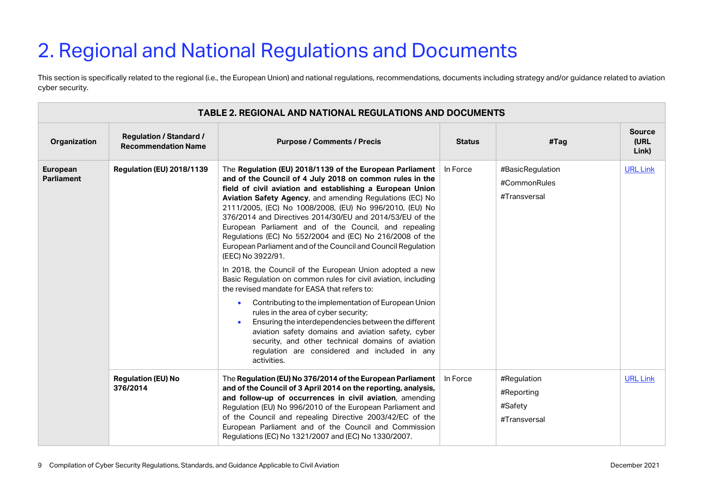# <span id="page-8-0"></span>2. Regional and National Regulations and Documents

This section is specifically related to the regional (i.e., the European Union) and national regulations, recommendations, documents including strategy and/or guidance related to aviation cyber security.

|                               | <b>TABLE 2. REGIONAL AND NATIONAL REGULATIONS AND DOCUMENTS</b> |                                                                                                                                                                                                                                                                                                                                                                                                                                                                                                                                                                                                                                                                                                                                                                                                                                                                                                                                                                                                                                                                                                               |               |                                                      |                                |  |  |
|-------------------------------|-----------------------------------------------------------------|---------------------------------------------------------------------------------------------------------------------------------------------------------------------------------------------------------------------------------------------------------------------------------------------------------------------------------------------------------------------------------------------------------------------------------------------------------------------------------------------------------------------------------------------------------------------------------------------------------------------------------------------------------------------------------------------------------------------------------------------------------------------------------------------------------------------------------------------------------------------------------------------------------------------------------------------------------------------------------------------------------------------------------------------------------------------------------------------------------------|---------------|------------------------------------------------------|--------------------------------|--|--|
| Organization                  | <b>Regulation / Standard /</b><br><b>Recommendation Name</b>    | <b>Purpose / Comments / Precis</b>                                                                                                                                                                                                                                                                                                                                                                                                                                                                                                                                                                                                                                                                                                                                                                                                                                                                                                                                                                                                                                                                            | <b>Status</b> | #Tag                                                 | <b>Source</b><br>(URL<br>Link) |  |  |
| European<br><b>Parliament</b> | <b>Regulation (EU) 2018/1139</b>                                | The Regulation (EU) 2018/1139 of the European Parliament<br>and of the Council of 4 July 2018 on common rules in the<br>field of civil aviation and establishing a European Union<br>Aviation Safety Agency, and amending Regulations (EC) No<br>2111/2005, (EC) No 1008/2008, (EU) No 996/2010, (EU) No<br>376/2014 and Directives 2014/30/EU and 2014/53/EU of the<br>European Parliament and of the Council, and repealing<br>Regulations (EC) No 552/2004 and (EC) No 216/2008 of the<br>European Parliament and of the Council and Council Regulation<br>(EEC) No 3922/91.<br>In 2018, the Council of the European Union adopted a new<br>Basic Regulation on common rules for civil aviation, including<br>the revised mandate for EASA that refers to:<br>Contributing to the implementation of European Union<br>$\bullet$<br>rules in the area of cyber security;<br>Ensuring the interdependencies between the different<br>aviation safety domains and aviation safety, cyber<br>security, and other technical domains of aviation<br>regulation are considered and included in any<br>activities. | In Force      | #BasicRegulation<br>#CommonRules<br>#Transversal     | <b>URL Link</b>                |  |  |
|                               | <b>Regulation (EU) No</b><br>376/2014                           | The Regulation (EU) No 376/2014 of the European Parliament<br>and of the Council of 3 April 2014 on the reporting, analysis,<br>and follow-up of occurrences in civil aviation, amending<br>Regulation (EU) No 996/2010 of the European Parliament and<br>of the Council and repealing Directive 2003/42/EC of the<br>European Parliament and of the Council and Commission<br>Regulations (EC) No 1321/2007 and (EC) No 1330/2007.                                                                                                                                                                                                                                                                                                                                                                                                                                                                                                                                                                                                                                                                           | In Force      | #Regulation<br>#Reporting<br>#Safety<br>#Transversal | <b>URL Link</b>                |  |  |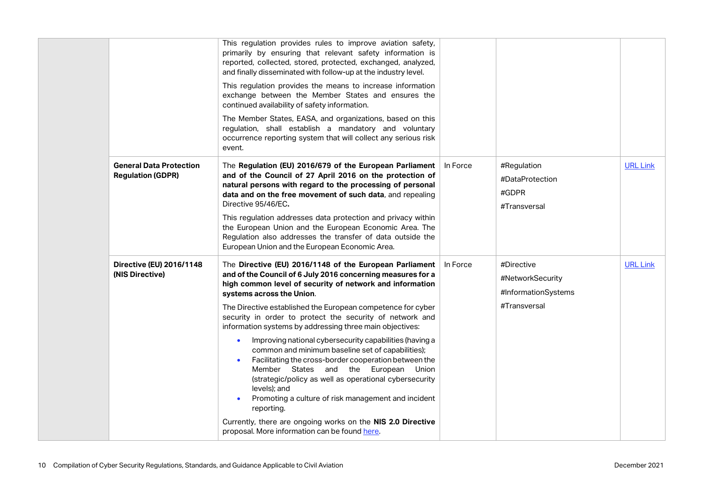|                                                            | This regulation provides rules to improve aviation safety,<br>primarily by ensuring that relevant safety information is<br>reported, collected, stored, protected, exchanged, analyzed,<br>and finally disseminated with follow-up at the industry level.                                                                                                                 |          |                                                         |                 |
|------------------------------------------------------------|---------------------------------------------------------------------------------------------------------------------------------------------------------------------------------------------------------------------------------------------------------------------------------------------------------------------------------------------------------------------------|----------|---------------------------------------------------------|-----------------|
|                                                            | This regulation provides the means to increase information<br>exchange between the Member States and ensures the<br>continued availability of safety information.                                                                                                                                                                                                         |          |                                                         |                 |
|                                                            | The Member States, EASA, and organizations, based on this<br>regulation, shall establish a mandatory and voluntary<br>occurrence reporting system that will collect any serious risk<br>event.                                                                                                                                                                            |          |                                                         |                 |
| <b>General Data Protection</b><br><b>Regulation (GDPR)</b> | The Regulation (EU) 2016/679 of the European Parliament<br>and of the Council of 27 April 2016 on the protection of<br>natural persons with regard to the processing of personal<br>data and on the free movement of such data, and repealing<br>Directive 95/46/EC.                                                                                                      | In Force | #Regulation<br>#DataProtection<br>#GDPR<br>#Transversal | <b>URL Link</b> |
|                                                            | This regulation addresses data protection and privacy within<br>the European Union and the European Economic Area. The<br>Regulation also addresses the transfer of data outside the<br>European Union and the European Economic Area.                                                                                                                                    |          |                                                         |                 |
| Directive (EU) 2016/1148<br>(NIS Directive)                | The Directive (EU) 2016/1148 of the European Parliament<br>and of the Council of 6 July 2016 concerning measures for a<br>high common level of security of network and information<br>systems across the Union.                                                                                                                                                           | In Force | #Directive<br>#NetworkSecurity<br>#InformationSystems   | <b>URL Link</b> |
|                                                            | The Directive established the European competence for cyber<br>security in order to protect the security of network and<br>information systems by addressing three main objectives:                                                                                                                                                                                       |          | #Transversal                                            |                 |
|                                                            | Improving national cybersecurity capabilities (having a<br>$\bullet$<br>common and minimum baseline set of capabilities);<br>Facilitating the cross-border cooperation between the<br>Member States and the European Union<br>(strategic/policy as well as operational cybersecurity<br>levels); and<br>Promoting a culture of risk management and incident<br>reporting. |          |                                                         |                 |
|                                                            | Currently, there are ongoing works on the NIS 2.0 Directive<br>proposal. More information can be found here.                                                                                                                                                                                                                                                              |          |                                                         |                 |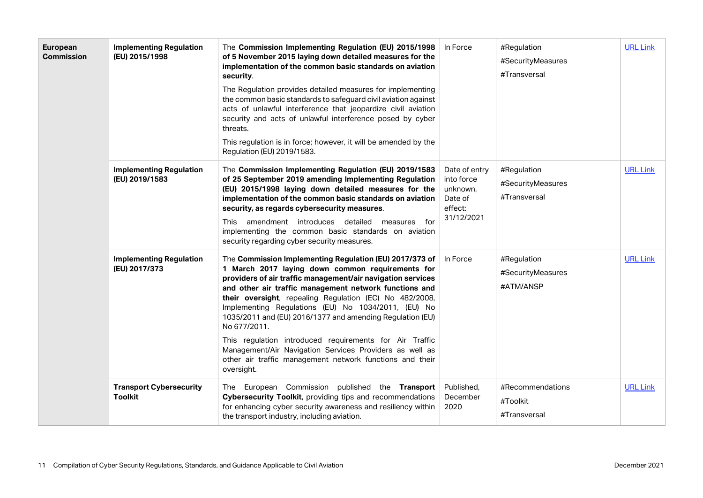| European<br><b>Commission</b> | <b>Implementing Regulation</b><br>(EU) 2015/1998 | The Commission Implementing Regulation (EU) 2015/1998<br>of 5 November 2015 laying down detailed measures for the<br>implementation of the common basic standards on aviation<br>security.<br>The Regulation provides detailed measures for implementing<br>the common basic standards to safeguard civil aviation against<br>acts of unlawful interference that jeopardize civil aviation<br>security and acts of unlawful interference posed by cyber<br>threats.<br>This regulation is in force; however, it will be amended by the<br>Regulation (EU) 2019/1583.                                                                | In Force                                                                    | #Regulation<br>#SecurityMeasures<br>#Transversal | <b>URL Link</b> |
|-------------------------------|--------------------------------------------------|-------------------------------------------------------------------------------------------------------------------------------------------------------------------------------------------------------------------------------------------------------------------------------------------------------------------------------------------------------------------------------------------------------------------------------------------------------------------------------------------------------------------------------------------------------------------------------------------------------------------------------------|-----------------------------------------------------------------------------|--------------------------------------------------|-----------------|
|                               | <b>Implementing Regulation</b><br>(EU) 2019/1583 | The Commission Implementing Regulation (EU) 2019/1583<br>of 25 September 2019 amending Implementing Regulation<br>(EU) 2015/1998 laying down detailed measures for the<br>implementation of the common basic standards on aviation<br>security, as regards cybersecurity measures.<br>This amendment introduces detailed measures for<br>implementing the common basic standards on aviation<br>security regarding cyber security measures.                                                                                                                                                                                         | Date of entry<br>into force<br>unknown,<br>Date of<br>effect:<br>31/12/2021 | #Regulation<br>#SecurityMeasures<br>#Transversal | <b>URL Link</b> |
|                               | <b>Implementing Regulation</b><br>(EU) 2017/373  | The Commission Implementing Regulation (EU) 2017/373 of<br>1 March 2017 laying down common requirements for<br>providers of air traffic management/air navigation services<br>and other air traffic management network functions and<br>their oversight, repealing Regulation (EC) No 482/2008,<br>Implementing Regulations (EU) No 1034/2011, (EU) No<br>1035/2011 and (EU) 2016/1377 and amending Regulation (EU)<br>No 677/2011.<br>This regulation introduced requirements for Air Traffic<br>Management/Air Navigation Services Providers as well as<br>other air traffic management network functions and their<br>oversight. | In Force                                                                    | #Regulation<br>#SecurityMeasures<br>#ATM/ANSP    | <b>URL Link</b> |
|                               | <b>Transport Cybersecurity</b><br><b>Toolkit</b> | The European Commission published the Transport<br>Cybersecurity Toolkit, providing tips and recommendations<br>for enhancing cyber security awareness and resiliency within<br>the transport industry, including aviation.                                                                                                                                                                                                                                                                                                                                                                                                         | Published,<br>December<br>2020                                              | #Recommendations<br>#Toolkit<br>#Transversal     | <b>URL Link</b> |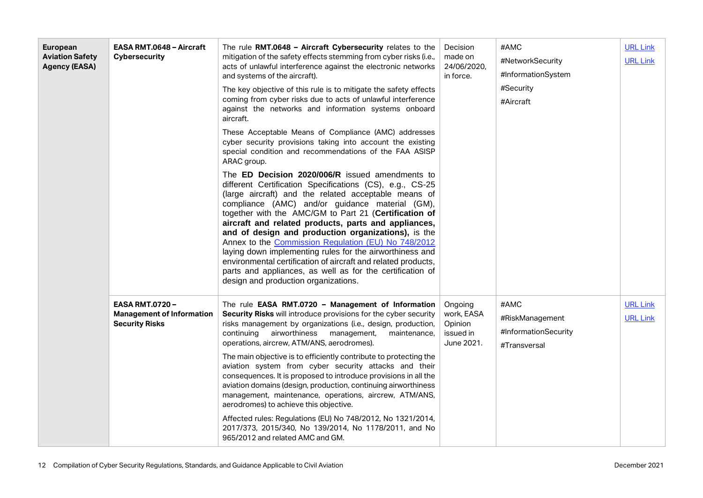| European<br><b>Aviation Safety</b><br><b>Agency (EASA)</b> | <b>EASA RMT.0648 - Aircraft</b><br><b>Cybersecurity</b>                            | The rule RMT.0648 - Aircraft Cybersecurity relates to the<br>mitigation of the safety effects stemming from cyber risks (i.e.,<br>acts of unlawful interference against the electronic networks<br>and systems of the aircraft).<br>The key objective of this rule is to mitigate the safety effects<br>coming from cyber risks due to acts of unlawful interference<br>against the networks and information systems onboard<br>aircraft.<br>These Acceptable Means of Compliance (AMC) addresses<br>cyber security provisions taking into account the existing<br>special condition and recommendations of the FAA ASISP<br>ARAC group.<br>The ED Decision 2020/006/R issued amendments to<br>different Certification Specifications (CS), e.g., CS-25<br>(large aircraft) and the related acceptable means of<br>compliance (AMC) and/or guidance material (GM),<br>together with the AMC/GM to Part 21 (Certification of<br>aircraft and related products, parts and appliances,<br>and of design and production organizations), is the<br>Annex to the Commission Regulation (EU) No 748/2012<br>laying down implementing rules for the airworthiness and<br>environmental certification of aircraft and related products,<br>parts and appliances, as well as for the certification of<br>design and production organizations. | Decision<br>made on<br>24/06/2020,<br>in force.             | #AMC<br>#NetworkSecurity<br>#InformationSystem<br>#Security<br>#Aircraft | <b>URL Link</b><br><b>URL Link</b> |
|------------------------------------------------------------|------------------------------------------------------------------------------------|-------------------------------------------------------------------------------------------------------------------------------------------------------------------------------------------------------------------------------------------------------------------------------------------------------------------------------------------------------------------------------------------------------------------------------------------------------------------------------------------------------------------------------------------------------------------------------------------------------------------------------------------------------------------------------------------------------------------------------------------------------------------------------------------------------------------------------------------------------------------------------------------------------------------------------------------------------------------------------------------------------------------------------------------------------------------------------------------------------------------------------------------------------------------------------------------------------------------------------------------------------------------------------------------------------------------------------------|-------------------------------------------------------------|--------------------------------------------------------------------------|------------------------------------|
|                                                            | <b>EASA RMT.0720-</b><br><b>Management of Information</b><br><b>Security Risks</b> | The rule EASA RMT.0720 - Management of Information<br>Security Risks will introduce provisions for the cyber security<br>risks management by organizations (i.e., design, production,<br>airworthiness<br>continuing<br>management,<br>maintenance,<br>operations, aircrew, ATM/ANS, aerodromes).<br>The main objective is to efficiently contribute to protecting the<br>aviation system from cyber security attacks and their<br>consequences. It is proposed to introduce provisions in all the<br>aviation domains (design, production, continuing airworthiness<br>management, maintenance, operations, aircrew, ATM/ANS,<br>aerodromes) to achieve this objective.<br>Affected rules: Regulations (EU) No 748/2012, No 1321/2014,<br>2017/373, 2015/340, No 139/2014, No 1178/2011, and No<br>965/2012 and related AMC and GM.                                                                                                                                                                                                                                                                                                                                                                                                                                                                                                | Ongoing<br>work, EASA<br>Opinion<br>issued in<br>June 2021. | #AMC<br>#RiskManagement<br>#InformationSecurity<br>#Transversal          | <b>URL Link</b><br><b>URL Link</b> |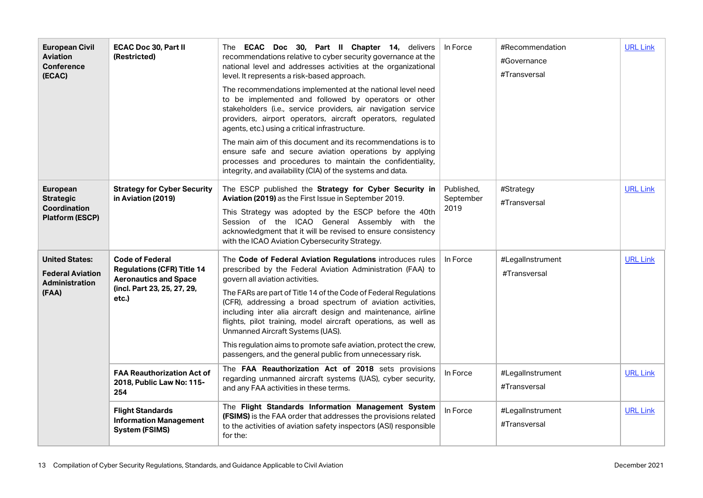| <b>European Civil</b><br><b>Aviation</b><br><b>Conference</b><br>(ECAC)            | <b>ECAC Doc 30, Part II</b><br>(Restricted)                                                                                         | The ECAC Doc 30, Part II Chapter 14, delivers<br>recommendations relative to cyber security governance at the<br>national level and addresses activities at the organizational<br>level. It represents a risk-based approach.                                                                                                                                                                                                                                                                                                                                                                        | In Force                        | #Recommendation<br>#Governance<br>#Transversal | <b>URL Link</b> |
|------------------------------------------------------------------------------------|-------------------------------------------------------------------------------------------------------------------------------------|------------------------------------------------------------------------------------------------------------------------------------------------------------------------------------------------------------------------------------------------------------------------------------------------------------------------------------------------------------------------------------------------------------------------------------------------------------------------------------------------------------------------------------------------------------------------------------------------------|---------------------------------|------------------------------------------------|-----------------|
|                                                                                    |                                                                                                                                     | The recommendations implemented at the national level need<br>to be implemented and followed by operators or other<br>stakeholders (i.e., service providers, air navigation service<br>providers, airport operators, aircraft operators, regulated<br>agents, etc.) using a critical infrastructure.                                                                                                                                                                                                                                                                                                 |                                 |                                                |                 |
|                                                                                    |                                                                                                                                     | The main aim of this document and its recommendations is to<br>ensure safe and secure aviation operations by applying<br>processes and procedures to maintain the confidentiality,<br>integrity, and availability (CIA) of the systems and data.                                                                                                                                                                                                                                                                                                                                                     |                                 |                                                |                 |
| European<br><b>Strategic</b><br><b>Coordination</b><br><b>Platform (ESCP)</b>      | <b>Strategy for Cyber Security</b><br>in Aviation (2019)                                                                            | The ESCP published the Strategy for Cyber Security in<br>Aviation (2019) as the First Issue in September 2019.<br>This Strategy was adopted by the ESCP before the 40th<br>Session of the ICAO General Assembly with the<br>acknowledgment that it will be revised to ensure consistency<br>with the ICAO Aviation Cybersecurity Strategy.                                                                                                                                                                                                                                                           | Published.<br>September<br>2019 | #Strategy<br>#Transversal                      | <b>URL Link</b> |
| <b>United States:</b><br><b>Federal Aviation</b><br><b>Administration</b><br>(FAA) | <b>Code of Federal</b><br><b>Regulations (CFR) Title 14</b><br><b>Aeronautics and Space</b><br>(incl. Part 23, 25, 27, 29,<br>etc.) | The Code of Federal Aviation Regulations introduces rules<br>prescribed by the Federal Aviation Administration (FAA) to<br>govern all aviation activities.<br>The FARs are part of Title 14 of the Code of Federal Regulations<br>(CFR), addressing a broad spectrum of aviation activities,<br>including inter alia aircraft design and maintenance, airline<br>flights, pilot training, model aircraft operations, as well as<br>Unmanned Aircraft Systems (UAS).<br>This regulation aims to promote safe aviation, protect the crew,<br>passengers, and the general public from unnecessary risk. | In Force                        | #LegalInstrument<br>#Transversal               | <b>URL Link</b> |
|                                                                                    | <b>FAA Reauthorization Act of</b><br>2018, Public Law No: 115-<br>254                                                               | The FAA Reauthorization Act of 2018 sets provisions<br>regarding unmanned aircraft systems (UAS), cyber security,<br>and any FAA activities in these terms.                                                                                                                                                                                                                                                                                                                                                                                                                                          | In Force                        | #LegalInstrument<br>#Transversal               | <b>URL Link</b> |
|                                                                                    | <b>Flight Standards</b><br><b>Information Management</b><br><b>System (FSIMS)</b>                                                   | The Flight Standards Information Management System<br>(FSIMS) is the FAA order that addresses the provisions related<br>to the activities of aviation safety inspectors (ASI) responsible<br>for the:                                                                                                                                                                                                                                                                                                                                                                                                | In Force                        | #LegalInstrument<br>#Transversal               | <b>URL Link</b> |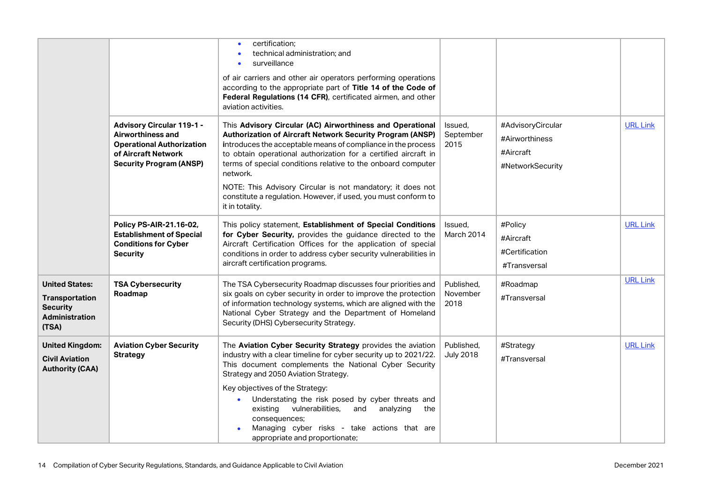|                                                                                              |                                                                                                                                                    | certification;<br>technical administration; and<br>surveillance<br>of air carriers and other air operators performing operations<br>according to the appropriate part of Title 14 of the Code of<br>Federal Regulations (14 CFR), certificated airmen, and other<br>aviation activities.                                                                                                                                                                                             |                                |                                                                      |                 |
|----------------------------------------------------------------------------------------------|----------------------------------------------------------------------------------------------------------------------------------------------------|--------------------------------------------------------------------------------------------------------------------------------------------------------------------------------------------------------------------------------------------------------------------------------------------------------------------------------------------------------------------------------------------------------------------------------------------------------------------------------------|--------------------------------|----------------------------------------------------------------------|-----------------|
|                                                                                              | <b>Advisory Circular 119-1 -</b><br>Airworthiness and<br><b>Operational Authorization</b><br>of Aircraft Network<br><b>Security Program (ANSP)</b> | This Advisory Circular (AC) Airworthiness and Operational<br>Authorization of Aircraft Network Security Program (ANSP)<br>introduces the acceptable means of compliance in the process<br>to obtain operational authorization for a certified aircraft in<br>terms of special conditions relative to the onboard computer<br>network.<br>NOTE: This Advisory Circular is not mandatory; it does not<br>constitute a regulation. However, if used, you must conform to                | Issued,<br>September<br>2015   | #AdvisoryCircular<br>#Airworthiness<br>#Aircraft<br>#NetworkSecurity | <b>URL Link</b> |
|                                                                                              | Policy PS-AIR-21.16-02,<br><b>Establishment of Special</b><br><b>Conditions for Cyber</b><br><b>Security</b>                                       | it in totality.<br>This policy statement, Establishment of Special Conditions<br>for Cyber Security, provides the guidance directed to the<br>Aircraft Certification Offices for the application of special<br>conditions in order to address cyber security vulnerabilities in<br>aircraft certification programs.                                                                                                                                                                  | Issued,<br>March 2014          | #Policy<br>#Aircraft<br>#Certification<br>#Transversal               | <b>URL Link</b> |
| <b>United States:</b><br><b>Transportation</b><br><b>Security</b><br>Administration<br>(TSA) | <b>TSA Cybersecurity</b><br>Roadmap                                                                                                                | The TSA Cybersecurity Roadmap discusses four priorities and<br>six goals on cyber security in order to improve the protection<br>of information technology systems, which are aligned with the<br>National Cyber Strategy and the Department of Homeland<br>Security (DHS) Cybersecurity Strategy.                                                                                                                                                                                   | Published,<br>November<br>2018 | #Roadmap<br>#Transversal                                             | <b>URL Link</b> |
| <b>United Kingdom:</b><br><b>Civil Aviation</b><br><b>Authority (CAA)</b>                    | <b>Aviation Cyber Security</b><br><b>Strategy</b>                                                                                                  | The Aviation Cyber Security Strategy provides the aviation<br>industry with a clear timeline for cyber security up to 2021/22.<br>This document complements the National Cyber Security<br>Strategy and 2050 Aviation Strategy.<br>Key objectives of the Strategy:<br>Understating the risk posed by cyber threats and<br>existing<br>vulnerabilities,<br>and<br>analyzing<br>the<br>consequences;<br>Managing cyber risks - take actions that are<br>appropriate and proportionate; | Published,<br><b>July 2018</b> | #Strategy<br>#Transversal                                            | <b>URL Link</b> |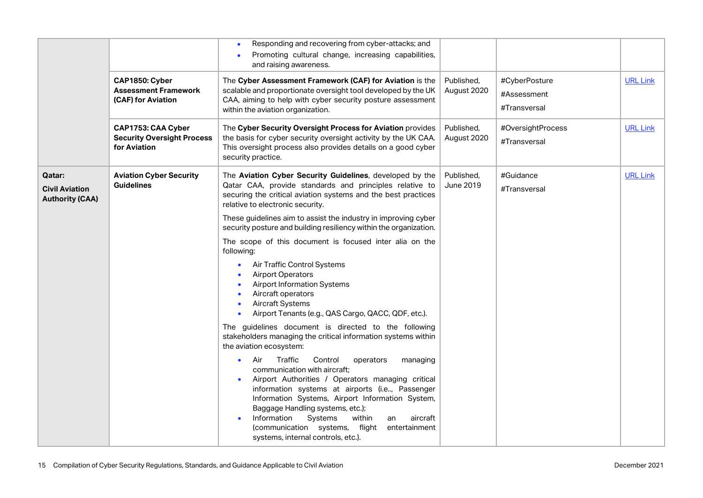|                                                           | CAP1850: Cyber<br><b>Assessment Framework</b><br>(CAF) for Aviation     | Responding and recovering from cyber-attacks; and<br>Promoting cultural change, increasing capabilities,<br>and raising awareness.<br>The Cyber Assessment Framework (CAF) for Aviation is the<br>scalable and proportionate oversight tool developed by the UK<br>CAA, aiming to help with cyber security posture assessment<br>within the aviation organization.                                                                                          | Published,<br>August 2020 | #CyberPosture<br>#Assessment<br>#Transversal | <b>URL Link</b> |
|-----------------------------------------------------------|-------------------------------------------------------------------------|-------------------------------------------------------------------------------------------------------------------------------------------------------------------------------------------------------------------------------------------------------------------------------------------------------------------------------------------------------------------------------------------------------------------------------------------------------------|---------------------------|----------------------------------------------|-----------------|
|                                                           | CAP1753: CAA Cyber<br><b>Security Oversight Process</b><br>for Aviation | The Cyber Security Oversight Process for Aviation provides<br>the basis for cyber security oversight activity by the UK CAA.<br>This oversight process also provides details on a good cyber<br>security practice.                                                                                                                                                                                                                                          | Published,<br>August 2020 | #OversightProcess<br>#Transversal            | <b>URL Link</b> |
| Qatar:<br><b>Civil Aviation</b><br><b>Authority (CAA)</b> | <b>Aviation Cyber Security</b><br><b>Guidelines</b>                     | The Aviation Cyber Security Guidelines, developed by the<br>Qatar CAA, provide standards and principles relative to<br>securing the critical aviation systems and the best practices<br>relative to electronic security.                                                                                                                                                                                                                                    | Published,<br>June 2019   | #Guidance<br>#Transversal                    | <b>URL Link</b> |
|                                                           |                                                                         | These guidelines aim to assist the industry in improving cyber<br>security posture and building resiliency within the organization.                                                                                                                                                                                                                                                                                                                         |                           |                                              |                 |
|                                                           |                                                                         | The scope of this document is focused inter alia on the<br>following:<br>Air Traffic Control Systems<br>$\bullet$<br><b>Airport Operators</b><br><b>Airport Information Systems</b><br>Aircraft operators<br><b>Aircraft Systems</b><br>Airport Tenants (e.g., QAS Cargo, QACC, QDF, etc.).                                                                                                                                                                 |                           |                                              |                 |
|                                                           |                                                                         | The guidelines document is directed to the following<br>stakeholders managing the critical information systems within<br>the aviation ecosystem:                                                                                                                                                                                                                                                                                                            |                           |                                              |                 |
|                                                           |                                                                         | Traffic<br>Control<br>Air<br>operators<br>managing<br>$\bullet$<br>communication with aircraft;<br>Airport Authorities / Operators managing critical<br>information systems at airports (i.e, Passenger<br>Information Systems, Airport Information System,<br>Baggage Handling systems, etc.);<br>Information<br>Systems<br>within<br>aircraft<br>an<br>$\bullet$<br>(communication systems, flight<br>entertainment<br>systems, internal controls, etc.). |                           |                                              |                 |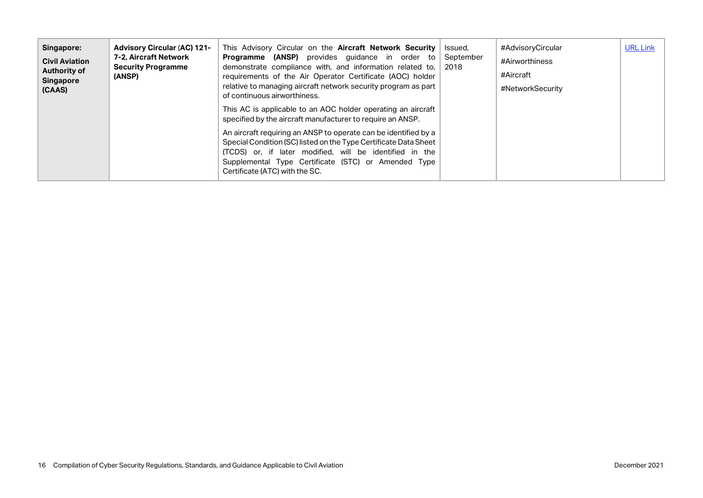| Singapore:<br><b>Civil Aviation</b><br><b>Authority of</b><br><b>Singapore</b><br>(CAAS) | <b>Advisory Circular (AC) 121-</b><br>7-2. Aircraft Network<br><b>Security Programme</b><br>(ANSP) | This Advisory Circular on the <b>Aircraft Network Security</b><br><b>Programme (ANSP)</b> provides quidance in order to<br>demonstrate compliance with, and information related to,<br>requirements of the Air Operator Certificate (AOC) holder<br>relative to managing aircraft network security program as part<br>of continuous airworthiness. | Issued.<br>September<br>2018 | #AdvisoryCircular<br>#Airworthiness<br>#Aircraft<br>#NetworkSecurity | <b>URL Link</b> |
|------------------------------------------------------------------------------------------|----------------------------------------------------------------------------------------------------|----------------------------------------------------------------------------------------------------------------------------------------------------------------------------------------------------------------------------------------------------------------------------------------------------------------------------------------------------|------------------------------|----------------------------------------------------------------------|-----------------|
|                                                                                          |                                                                                                    | This AC is applicable to an AOC holder operating an aircraft<br>specified by the aircraft manufacturer to require an ANSP.                                                                                                                                                                                                                         |                              |                                                                      |                 |
|                                                                                          |                                                                                                    | An aircraft requiring an ANSP to operate can be identified by a<br>Special Condition (SC) listed on the Type Certificate Data Sheet<br>(TCDS) or, if later modified, will be identified in the<br>Supplemental Type Certificate (STC) or Amended Type<br>Certificate (ATC) with the SC.                                                            |                              |                                                                      |                 |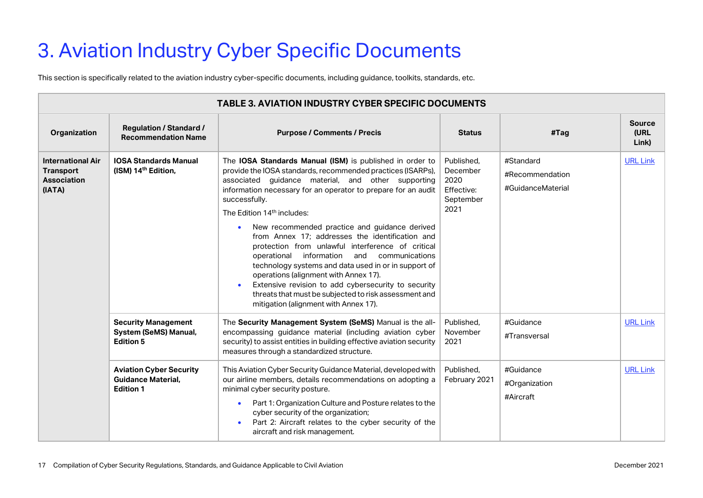# <span id="page-16-0"></span>3. Aviation Industry Cyber Specific Documents

This section is specifically related to the aviation industry cyber-specific documents, including guidance, toolkits, standards, etc.

|                                                                              | <b>TABLE 3. AVIATION INDUSTRY CYBER SPECIFIC DOCUMENTS</b>                      |                                                                                                                                                                                                                                                                                                                                                                                                                                                                                                                                                                                                                                                                                                                                                                                               |                                                                   |                                                   |                                |  |  |
|------------------------------------------------------------------------------|---------------------------------------------------------------------------------|-----------------------------------------------------------------------------------------------------------------------------------------------------------------------------------------------------------------------------------------------------------------------------------------------------------------------------------------------------------------------------------------------------------------------------------------------------------------------------------------------------------------------------------------------------------------------------------------------------------------------------------------------------------------------------------------------------------------------------------------------------------------------------------------------|-------------------------------------------------------------------|---------------------------------------------------|--------------------------------|--|--|
| Organization                                                                 | <b>Regulation / Standard /</b><br><b>Recommendation Name</b>                    | <b>Purpose / Comments / Precis</b>                                                                                                                                                                                                                                                                                                                                                                                                                                                                                                                                                                                                                                                                                                                                                            | <b>Status</b>                                                     | #Tag                                              | <b>Source</b><br>(URL<br>Link) |  |  |
| <b>International Air</b><br><b>Transport</b><br><b>Association</b><br>(IATA) | <b>IOSA Standards Manual</b><br>(ISM) 14 <sup>th</sup> Edition,                 | The IOSA Standards Manual (ISM) is published in order to<br>provide the IOSA standards, recommended practices (ISARPs),<br>associated guidance material, and other supporting<br>information necessary for an operator to prepare for an audit<br>successfully.<br>The Edition 14 <sup>th</sup> includes:<br>New recommended practice and guidance derived<br>$\bullet$<br>from Annex 17; addresses the identification and<br>protection from unlawful interference of critical<br>information<br>and communications<br>operational<br>technology systems and data used in or in support of<br>operations (alignment with Annex 17).<br>Extensive revision to add cybersecurity to security<br>threats that must be subjected to risk assessment and<br>mitigation (alignment with Annex 17). | Published.<br>December<br>2020<br>Effective:<br>September<br>2021 | #Standard<br>#Recommendation<br>#GuidanceMaterial | <b>URL Link</b>                |  |  |
|                                                                              | <b>Security Management</b><br>System (SeMS) Manual,<br><b>Edition 5</b>         | The Security Management System (SeMS) Manual is the all-<br>encompassing guidance material (including aviation cyber<br>security) to assist entities in building effective aviation security<br>measures through a standardized structure.                                                                                                                                                                                                                                                                                                                                                                                                                                                                                                                                                    | Published,<br>November<br>2021                                    | #Guidance<br>#Transversal                         | <b>URL Link</b>                |  |  |
|                                                                              | <b>Aviation Cyber Security</b><br><b>Guidance Material,</b><br><b>Edition 1</b> | This Aviation Cyber Security Guidance Material, developed with<br>our airline members, details recommendations on adopting a<br>minimal cyber security posture.<br>Part 1: Organization Culture and Posture relates to the<br>$\bullet$<br>cyber security of the organization;<br>Part 2: Aircraft relates to the cyber security of the<br>aircraft and risk management.                                                                                                                                                                                                                                                                                                                                                                                                                      | Published,<br>February 2021                                       | #Guidance<br>#Organization<br>#Aircraft           | <b>URL Link</b>                |  |  |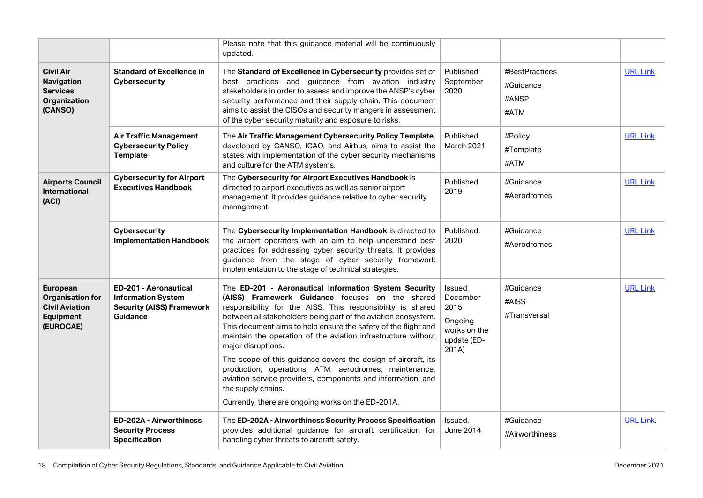|                                                                                               |                                                                                                                  | Please note that this guidance material will be continuously<br>updated.                                                                                                                                                                                                                                                                                                                                                                                                                                                                                                                                                                                               |                                                                                |                                              |                  |
|-----------------------------------------------------------------------------------------------|------------------------------------------------------------------------------------------------------------------|------------------------------------------------------------------------------------------------------------------------------------------------------------------------------------------------------------------------------------------------------------------------------------------------------------------------------------------------------------------------------------------------------------------------------------------------------------------------------------------------------------------------------------------------------------------------------------------------------------------------------------------------------------------------|--------------------------------------------------------------------------------|----------------------------------------------|------------------|
| <b>Civil Air</b><br>Navigation<br><b>Services</b><br>Organization<br>(CANSO)                  | <b>Standard of Excellence in</b><br><b>Cybersecurity</b>                                                         | The Standard of Excellence in Cybersecurity provides set of<br>best practices and guidance from aviation industry<br>stakeholders in order to assess and improve the ANSP's cyber<br>security performance and their supply chain. This document<br>aims to assist the CISOs and security mangers in assessment<br>of the cyber security maturity and exposure to risks.                                                                                                                                                                                                                                                                                                | Published.<br>September<br>2020                                                | #BestPractices<br>#Guidance<br>#ANSP<br>#ATM | <b>URL Link</b>  |
|                                                                                               | <b>Air Traffic Management</b><br><b>Cybersecurity Policy</b><br><b>Template</b>                                  | The Air Traffic Management Cybersecurity Policy Template,<br>developed by CANSO, ICAO, and Airbus, aims to assist the<br>states with implementation of the cyber security mechanisms<br>and culture for the ATM systems.                                                                                                                                                                                                                                                                                                                                                                                                                                               | Published,<br>March 2021                                                       | #Policy<br>#Template<br>#ATM                 | <b>URL Link</b>  |
| <b>Airports Council</b><br>International<br>(ACI)                                             | <b>Cybersecurity for Airport</b><br><b>Executives Handbook</b>                                                   | The Cybersecurity for Airport Executives Handbook is<br>directed to airport executives as well as senior airport<br>management. It provides guidance relative to cyber security<br>management.                                                                                                                                                                                                                                                                                                                                                                                                                                                                         | Published,<br>2019                                                             | #Guidance<br>#Aerodromes                     | <b>URL Link</b>  |
|                                                                                               | <b>Cybersecurity</b><br><b>Implementation Handbook</b>                                                           | The Cybersecurity Implementation Handbook is directed to<br>the airport operators with an aim to help understand best<br>practices for addressing cyber security threats. It provides<br>guidance from the stage of cyber security framework<br>implementation to the stage of technical strategies.                                                                                                                                                                                                                                                                                                                                                                   | Published,<br>2020                                                             | #Guidance<br>#Aerodromes                     | <b>URL Link</b>  |
| European<br><b>Organisation for</b><br><b>Civil Aviation</b><br><b>Equipment</b><br>(EUROCAE) | <b>ED-201 - Aeronautical</b><br><b>Information System</b><br><b>Security (AISS) Framework</b><br><b>Guidance</b> | The ED-201 - Aeronautical Information System Security<br>(AISS) Framework Guidance focuses on the shared<br>responsibility for the AISS. This responsibility is shared<br>between all stakeholders being part of the aviation ecosystem.<br>This document aims to help ensure the safety of the flight and<br>maintain the operation of the aviation infrastructure without<br>major disruptions.<br>The scope of this guidance covers the design of aircraft, its<br>production, operations, ATM, aerodromes, maintenance,<br>aviation service providers, components and information, and<br>the supply chains.<br>Currently, there are ongoing works on the ED-201A. | Issued,<br>December<br>2015<br>Ongoing<br>works on the<br>update (ED-<br>201A) | #Guidance<br>#AISS<br>#Transversal           | <b>URL Link</b>  |
|                                                                                               | <b>ED-202A - Airworthiness</b><br><b>Security Process</b><br><b>Specification</b>                                | The ED-202A - Airworthiness Security Process Specification<br>provides additional guidance for aircraft certification for<br>handling cyber threats to aircraft safety.                                                                                                                                                                                                                                                                                                                                                                                                                                                                                                | Issued,<br><b>June 2014</b>                                                    | #Guidance<br>#Airworthiness                  | <b>URL Link.</b> |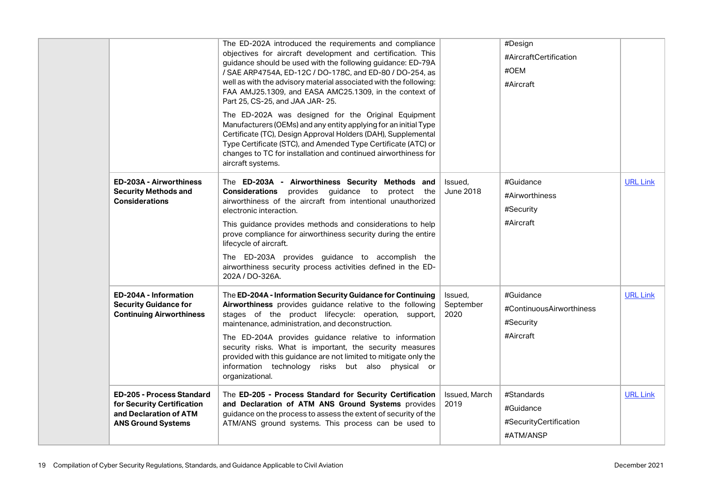|                                                                                          | The ED-202A introduced the requirements and compliance<br>objectives for aircraft development and certification. This<br>guidance should be used with the following guidance: ED-79A<br>/ SAE ARP4754A, ED-12C / DO-178C, and ED-80 / DO-254, as<br>well as with the advisory material associated with the following:<br>FAA AMJ25.1309, and EASA AMC25.1309, in the context of<br>Part 25, CS-25, and JAA JAR- 25. |                              | #Design<br>#AircraftCertification<br>#OEM<br>#Aircraft |                 |
|------------------------------------------------------------------------------------------|---------------------------------------------------------------------------------------------------------------------------------------------------------------------------------------------------------------------------------------------------------------------------------------------------------------------------------------------------------------------------------------------------------------------|------------------------------|--------------------------------------------------------|-----------------|
|                                                                                          | The ED-202A was designed for the Original Equipment<br>Manufacturers (OEMs) and any entity applying for an initial Type<br>Certificate (TC), Design Approval Holders (DAH), Supplemental<br>Type Certificate (STC), and Amended Type Certificate (ATC) or<br>changes to TC for installation and continued airworthiness for<br>aircraft systems.                                                                    |                              |                                                        |                 |
| <b>ED-203A - Airworthiness</b><br><b>Security Methods and</b><br><b>Considerations</b>   | The ED-203A - Airworthiness Security Methods and<br><b>Considerations</b> provides guidance to protect the<br>airworthiness of the aircraft from intentional unauthorized<br>electronic interaction.                                                                                                                                                                                                                | Issued,<br><b>June 2018</b>  | #Guidance<br>#Airworthiness<br>#Security               | <b>URL Link</b> |
|                                                                                          | This guidance provides methods and considerations to help<br>prove compliance for airworthiness security during the entire<br>lifecycle of aircraft.                                                                                                                                                                                                                                                                |                              | #Aircraft                                              |                 |
|                                                                                          | The ED-203A provides guidance to accomplish the<br>airworthiness security process activities defined in the ED-<br>202A / DO-326A.                                                                                                                                                                                                                                                                                  |                              |                                                        |                 |
| ED-204A - Information<br><b>Security Guidance for</b><br><b>Continuing Airworthiness</b> | The ED-204A - Information Security Guidance for Continuing<br>Airworthiness provides guidance relative to the following<br>stages of the product lifecycle: operation, support,<br>maintenance, administration, and deconstruction.                                                                                                                                                                                 | Issued.<br>September<br>2020 | #Guidance<br>#ContinuousAirworthiness<br>#Security     | <b>URL Link</b> |
|                                                                                          | The ED-204A provides guidance relative to information<br>security risks. What is important, the security measures<br>provided with this guidance are not limited to mitigate only the<br>information technology risks but also physical or<br>organizational.                                                                                                                                                       |                              | #Aircraft                                              |                 |
| <b>ED-205 - Process Standard</b><br>for Security Certification<br>and Declaration of ATM | The ED-205 - Process Standard for Security Certification<br>and Declaration of ATM ANS Ground Systems provides<br>guidance on the process to assess the extent of security of the                                                                                                                                                                                                                                   | Issued, March<br>2019        | #Standards<br>#Guidance                                | <b>URL Link</b> |
| <b>ANS Ground Systems</b>                                                                | ATM/ANS ground systems. This process can be used to                                                                                                                                                                                                                                                                                                                                                                 |                              | #SecurityCertification<br>#ATM/ANSP                    |                 |
|                                                                                          |                                                                                                                                                                                                                                                                                                                                                                                                                     |                              |                                                        |                 |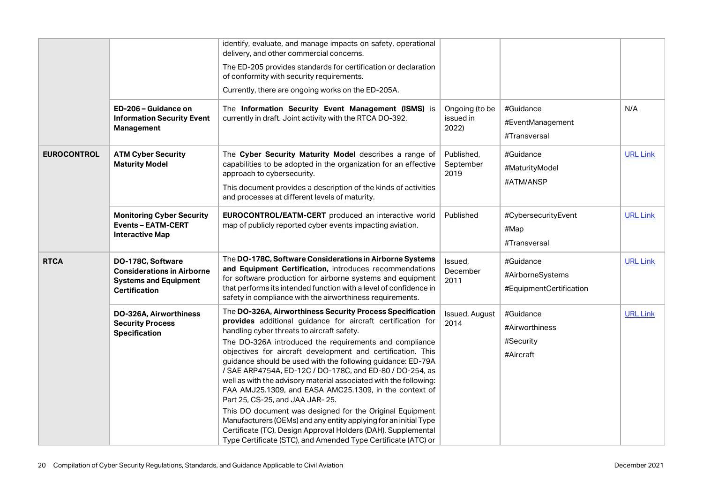|                    |                                                                                                                | identify, evaluate, and manage impacts on safety, operational<br>delivery, and other commercial concerns.                                                                                                                                                                                                                                                                                                                                                                                                                                                                                                                                                                                                                                                                                                                                                       |                                      |                                                          |                 |
|--------------------|----------------------------------------------------------------------------------------------------------------|-----------------------------------------------------------------------------------------------------------------------------------------------------------------------------------------------------------------------------------------------------------------------------------------------------------------------------------------------------------------------------------------------------------------------------------------------------------------------------------------------------------------------------------------------------------------------------------------------------------------------------------------------------------------------------------------------------------------------------------------------------------------------------------------------------------------------------------------------------------------|--------------------------------------|----------------------------------------------------------|-----------------|
|                    |                                                                                                                | The ED-205 provides standards for certification or declaration<br>of conformity with security requirements.                                                                                                                                                                                                                                                                                                                                                                                                                                                                                                                                                                                                                                                                                                                                                     |                                      |                                                          |                 |
|                    |                                                                                                                | Currently, there are ongoing works on the ED-205A.                                                                                                                                                                                                                                                                                                                                                                                                                                                                                                                                                                                                                                                                                                                                                                                                              |                                      |                                                          |                 |
|                    | ED-206 - Guidance on<br><b>Information Security Event</b><br>Management                                        | The Information Security Event Management (ISMS) is<br>currently in draft. Joint activity with the RTCA DO-392.                                                                                                                                                                                                                                                                                                                                                                                                                                                                                                                                                                                                                                                                                                                                                 | Ongoing (to be<br>issued in<br>2022) | #Guidance<br>#EventManagement<br>#Transversal            | N/A             |
| <b>EUROCONTROL</b> | <b>ATM Cyber Security</b><br><b>Maturity Model</b>                                                             | The Cyber Security Maturity Model describes a range of<br>capabilities to be adopted in the organization for an effective<br>approach to cybersecurity.<br>This document provides a description of the kinds of activities<br>and processes at different levels of maturity.                                                                                                                                                                                                                                                                                                                                                                                                                                                                                                                                                                                    | Published,<br>September<br>2019      | #Guidance<br>#MaturityModel<br>#ATM/ANSP                 | <b>URL Link</b> |
|                    | <b>Monitoring Cyber Security</b><br><b>Events - EATM-CERT</b><br><b>Interactive Map</b>                        | EUROCONTROL/EATM-CERT produced an interactive world<br>map of publicly reported cyber events impacting aviation.                                                                                                                                                                                                                                                                                                                                                                                                                                                                                                                                                                                                                                                                                                                                                | Published                            | #CybersecurityEvent<br>#Map<br>#Transversal              | <b>URL Link</b> |
| <b>RTCA</b>        | DO-178C, Software<br><b>Considerations in Airborne</b><br><b>Systems and Equipment</b><br><b>Certification</b> | The DO-178C, Software Considerations in Airborne Systems<br>and Equipment Certification, introduces recommendations<br>for software production for airborne systems and equipment<br>that performs its intended function with a level of confidence in<br>safety in compliance with the airworthiness requirements.                                                                                                                                                                                                                                                                                                                                                                                                                                                                                                                                             | Issued.<br>December<br>2011          | #Guidance<br>#AirborneSystems<br>#EquipmentCertification | <b>URL Link</b> |
|                    | DO-326A, Airworthiness<br><b>Security Process</b><br><b>Specification</b>                                      | The DO-326A, Airworthiness Security Process Specification<br>provides additional guidance for aircraft certification for<br>handling cyber threats to aircraft safety.<br>The DO-326A introduced the requirements and compliance<br>objectives for aircraft development and certification. This<br>guidance should be used with the following guidance: ED-79A<br>/ SAE ARP4754A, ED-12C / DO-178C, and ED-80 / DO-254, as<br>well as with the advisory material associated with the following:<br>FAA AMJ25.1309, and EASA AMC25.1309, in the context of<br>Part 25, CS-25, and JAA JAR- 25.<br>This DO document was designed for the Original Equipment<br>Manufacturers (OEMs) and any entity applying for an initial Type<br>Certificate (TC), Design Approval Holders (DAH), Supplemental<br>Type Certificate (STC), and Amended Type Certificate (ATC) or | Issued, August<br>2014               | #Guidance<br>#Airworthiness<br>#Security<br>#Aircraft    | <b>URL Link</b> |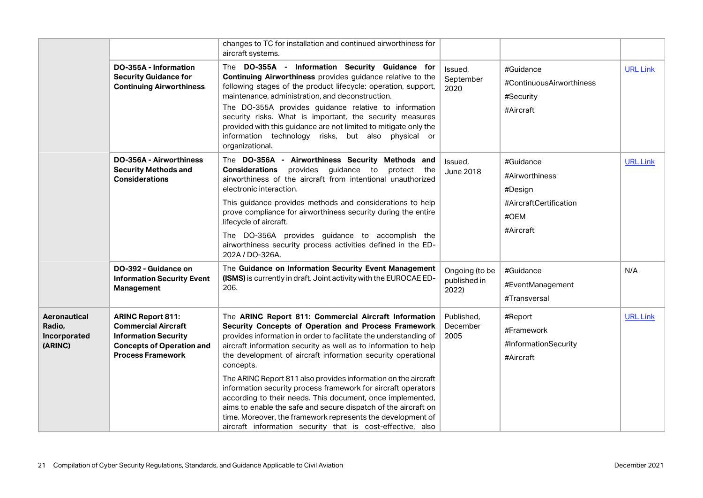|                                                   |                                                                                                                                                       | changes to TC for installation and continued airworthiness for<br>aircraft systems.                                                                                                                                                                                                                                                                                                                                                                                                                          |                                         |                                                                  |                 |
|---------------------------------------------------|-------------------------------------------------------------------------------------------------------------------------------------------------------|--------------------------------------------------------------------------------------------------------------------------------------------------------------------------------------------------------------------------------------------------------------------------------------------------------------------------------------------------------------------------------------------------------------------------------------------------------------------------------------------------------------|-----------------------------------------|------------------------------------------------------------------|-----------------|
|                                                   | DO-355A - Information<br><b>Security Guidance for</b><br><b>Continuing Airworthiness</b>                                                              | The DO-355A - Information Security Guidance for<br><b>Continuing Airworthiness</b> provides guidance relative to the<br>following stages of the product lifecycle: operation, support,<br>maintenance, administration, and deconstruction.<br>The DO-355A provides guidance relative to information<br>security risks. What is important, the security measures<br>provided with this guidance are not limited to mitigate only the<br>information technology risks, but also physical or<br>organizational. | Issued.<br>September<br>2020            | #Guidance<br>#ContinuousAirworthiness<br>#Security<br>#Aircraft  | <b>URL Link</b> |
|                                                   | <b>DO-356A - Airworthiness</b><br><b>Security Methods and</b><br><b>Considerations</b>                                                                | The DO-356A - Airworthiness Security Methods and<br><b>Considerations</b><br>provides<br>guidance to<br>protect the<br>airworthiness of the aircraft from intentional unauthorized<br>electronic interaction.<br>This guidance provides methods and considerations to help                                                                                                                                                                                                                                   | Issued,<br><b>June 2018</b>             | #Guidance<br>#Airworthiness<br>#Design<br>#AircraftCertification | <b>URL Link</b> |
|                                                   |                                                                                                                                                       | prove compliance for airworthiness security during the entire<br>lifecycle of aircraft.<br>The DO-356A provides guidance to accomplish the                                                                                                                                                                                                                                                                                                                                                                   |                                         | #OEM<br>#Aircraft                                                |                 |
|                                                   |                                                                                                                                                       | airworthiness security process activities defined in the ED-<br>202A / DO-326A.                                                                                                                                                                                                                                                                                                                                                                                                                              |                                         |                                                                  |                 |
|                                                   | DO-392 - Guidance on<br><b>Information Security Event</b><br>Management                                                                               | The Guidance on Information Security Event Management<br>(ISMS) is currently in draft. Joint activity with the EUROCAE ED-<br>206.                                                                                                                                                                                                                                                                                                                                                                           | Ongoing (to be<br>published in<br>2022) | #Guidance<br>#EventManagement<br>#Transversal                    | N/A             |
| Aeronautical<br>Radio,<br>Incorporated<br>(ARINC) | <b>ARINC Report 811:</b><br><b>Commercial Aircraft</b><br><b>Information Security</b><br><b>Concepts of Operation and</b><br><b>Process Framework</b> | The ARINC Report 811: Commercial Aircraft Information<br>Security Concepts of Operation and Process Framework<br>provides information in order to facilitate the understanding of<br>aircraft information security as well as to information to help<br>the development of aircraft information security operational<br>concepts.                                                                                                                                                                            | Published,<br>December<br>2005          | #Report<br>#Framework<br>#InformationSecurity<br>#Aircraft       | <b>URL Link</b> |
|                                                   |                                                                                                                                                       | The ARINC Report 811 also provides information on the aircraft<br>information security process framework for aircraft operators<br>according to their needs. This document, once implemented,<br>aims to enable the safe and secure dispatch of the aircraft on<br>time. Moreover, the framework represents the development of<br>aircraft information security that is cost-effective, also                                                                                                                 |                                         |                                                                  |                 |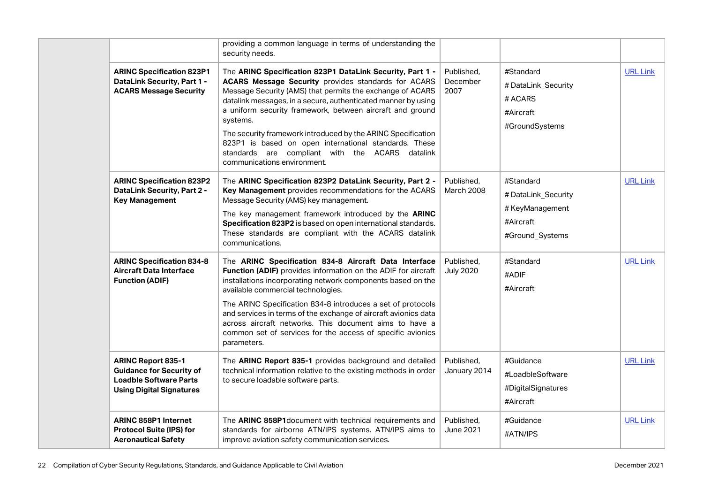|  |                                                                                                                                  | providing a common language in terms of understanding the<br>security needs.                                                                                                                                                                                                                                                                                                                                                                                                                                                              |                                 |                                                                                    |                 |
|--|----------------------------------------------------------------------------------------------------------------------------------|-------------------------------------------------------------------------------------------------------------------------------------------------------------------------------------------------------------------------------------------------------------------------------------------------------------------------------------------------------------------------------------------------------------------------------------------------------------------------------------------------------------------------------------------|---------------------------------|------------------------------------------------------------------------------------|-----------------|
|  | <b>ARINC Specification 823P1</b><br><b>DataLink Security, Part 1 -</b><br><b>ACARS Message Security</b>                          | The ARINC Specification 823P1 DataLink Security, Part 1 -<br><b>ACARS Message Security provides standards for ACARS</b><br>Message Security (AMS) that permits the exchange of ACARS<br>datalink messages, in a secure, authenticated manner by using<br>a uniform security framework, between aircraft and ground<br>systems.<br>The security framework introduced by the ARINC Specification<br>823P1 is based on open international standards. These<br>standards are compliant with the ACARS datalink<br>communications environment. | Published,<br>December<br>2007  | #Standard<br># DataLink_Security<br># ACARS<br>#Aircraft<br>#GroundSystems         | <b>URL Link</b> |
|  | <b>ARINC Specification 823P2</b><br><b>DataLink Security, Part 2 -</b><br><b>Key Management</b>                                  | The ARINC Specification 823P2 DataLink Security, Part 2 -<br>Key Management provides recommendations for the ACARS<br>Message Security (AMS) key management.<br>The key management framework introduced by the ARINC<br>Specification 823P2 is based on open international standards.<br>These standards are compliant with the ACARS datalink<br>communications.                                                                                                                                                                         | Published,<br><b>March 2008</b> | #Standard<br># DataLink_Security<br>#KeyManagement<br>#Aircraft<br>#Ground Systems | <b>URL Link</b> |
|  | <b>ARINC Specification 834-8</b><br><b>Aircraft Data Interface</b><br><b>Function (ADIF)</b>                                     | The ARINC Specification 834-8 Aircraft Data Interface<br>Function (ADIF) provides information on the ADIF for aircraft<br>installations incorporating network components based on the<br>available commercial technologies.<br>The ARINC Specification 834-8 introduces a set of protocols<br>and services in terms of the exchange of aircraft avionics data<br>across aircraft networks. This document aims to have a<br>common set of services for the access of specific avionics<br>parameters.                                      | Published,<br><b>July 2020</b>  | #Standard<br>#ADIF<br>#Aircraft                                                    | <b>URL Link</b> |
|  | <b>ARINC Report 835-1</b><br><b>Guidance for Security of</b><br><b>Loadble Software Parts</b><br><b>Using Digital Signatures</b> | The ARINC Report 835-1 provides background and detailed<br>technical information relative to the existing methods in order<br>to secure loadable software parts.                                                                                                                                                                                                                                                                                                                                                                          | Published,<br>January 2014      | #Guidance<br>#LoadbleSoftware<br>#DigitalSignatures<br>#Aircraft                   | <b>URL Link</b> |
|  | <b>ARINC 858P1 Internet</b><br><b>Protocol Suite (IPS) for</b><br><b>Aeronautical Safety</b>                                     | The ARINC 858P1 document with technical requirements and<br>standards for airborne ATN/IPS systems. ATN/IPS aims to<br>improve aviation safety communication services.                                                                                                                                                                                                                                                                                                                                                                    | Published,<br>June 2021         | #Guidance<br>#ATN/IPS                                                              | <b>URL Link</b> |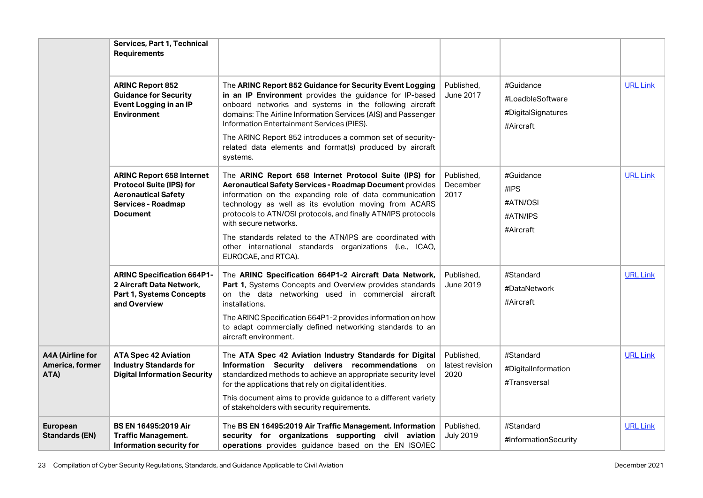|                                                    | <b>Services, Part 1, Technical</b><br><b>Requirements</b>                                                                                         |                                                                                                                                                                                                                                                                                                                                                                                                                                                                                  |                                       |                                                                  |                 |
|----------------------------------------------------|---------------------------------------------------------------------------------------------------------------------------------------------------|----------------------------------------------------------------------------------------------------------------------------------------------------------------------------------------------------------------------------------------------------------------------------------------------------------------------------------------------------------------------------------------------------------------------------------------------------------------------------------|---------------------------------------|------------------------------------------------------------------|-----------------|
|                                                    | <b>ARINC Report 852</b><br><b>Guidance for Security</b><br>Event Logging in an IP<br><b>Environment</b>                                           | The ARINC Report 852 Guidance for Security Event Logging<br>in an IP Environment provides the guidance for IP-based<br>onboard networks and systems in the following aircraft<br>domains: The Airline Information Services (AIS) and Passenger<br>Information Entertainment Services (PIES).<br>The ARINC Report 852 introduces a common set of security-<br>related data elements and format(s) produced by aircraft<br>systems.                                                | Published.<br><b>June 2017</b>        | #Guidance<br>#LoadbleSoftware<br>#DigitalSignatures<br>#Aircraft | <b>URL Link</b> |
|                                                    | <b>ARINC Report 658 Internet</b><br><b>Protocol Suite (IPS) for</b><br><b>Aeronautical Safety</b><br><b>Services - Roadmap</b><br><b>Document</b> | The ARINC Report 658 Internet Protocol Suite (IPS) for<br>Aeronautical Safety Services - Roadmap Document provides<br>information on the expanding role of data communication<br>technology as well as its evolution moving from ACARS<br>protocols to ATN/OSI protocols, and finally ATN/IPS protocols<br>with secure networks.<br>The standards related to the ATN/IPS are coordinated with<br>other international standards organizations (i.e., ICAO,<br>EUROCAE, and RTCA). | Published,<br>December<br>2017        | #Guidance<br>#IPS<br>#ATN/OSI<br>#ATN/IPS<br>#Aircraft           | <b>URL Link</b> |
|                                                    | <b>ARINC Specification 664P1-</b><br>2 Aircraft Data Network,<br>Part 1, Systems Concepts<br>and Overview                                         | The ARINC Specification 664P1-2 Aircraft Data Network,<br>Part 1, Systems Concepts and Overview provides standards<br>on the data networking used in commercial aircraft<br>installations.<br>The ARINC Specification 664P1-2 provides information on how<br>to adapt commercially defined networking standards to an<br>aircraft environment.                                                                                                                                   | Published.<br><b>June 2019</b>        | #Standard<br>#DataNetwork<br>#Aircraft                           | <b>URL Link</b> |
| <b>A4A (Airline for</b><br>America, former<br>ATA) | <b>ATA Spec 42 Aviation</b><br><b>Industry Standards for</b><br><b>Digital Information Security</b>                                               | The ATA Spec 42 Aviation Industry Standards for Digital<br>Information Security delivers recommendations on<br>standardized methods to achieve an appropriate security level<br>for the applications that rely on digital identities.<br>This document aims to provide guidance to a different variety<br>of stakeholders with security requirements.                                                                                                                            | Published.<br>latest revision<br>2020 | #Standard<br>#DigitalInformation<br>#Transversal                 | <b>URL Link</b> |
| <b>European</b><br><b>Standards (EN)</b>           | <b>BS EN 16495:2019 Air</b><br><b>Traffic Management.</b><br>Information security for                                                             | The BS EN 16495:2019 Air Traffic Management. Information<br>security for organizations supporting civil aviation<br>operations provides guidance based on the EN ISO/IEC                                                                                                                                                                                                                                                                                                         | Published,<br><b>July 2019</b>        | #Standard<br>#InformationSecurity                                | <b>URL Link</b> |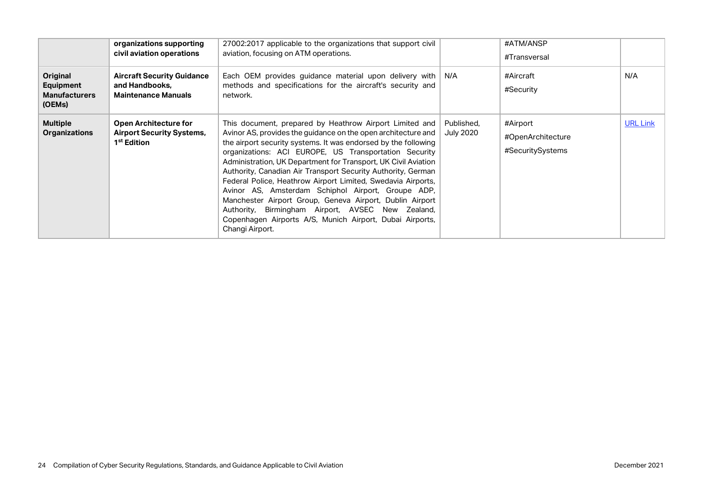| Original<br><b>Equipment</b><br><b>Manufacturers</b><br>(OEMs) | organizations supporting<br>civil aviation operations<br><b>Aircraft Security Guidance</b><br>and Handbooks.<br><b>Maintenance Manuals</b> | 27002:2017 applicable to the organizations that support civil<br>aviation, focusing on ATM operations.<br>Each OEM provides guidance material upon delivery with<br>methods and specifications for the aircraft's security and<br>network.                                                                                                                                                                                                                                                                                                                                                                                                                                                                  | ∣N/A                           | #ATM/ANSP<br>#Transversal<br>#Aircraft<br>#Security | N/A             |
|----------------------------------------------------------------|--------------------------------------------------------------------------------------------------------------------------------------------|-------------------------------------------------------------------------------------------------------------------------------------------------------------------------------------------------------------------------------------------------------------------------------------------------------------------------------------------------------------------------------------------------------------------------------------------------------------------------------------------------------------------------------------------------------------------------------------------------------------------------------------------------------------------------------------------------------------|--------------------------------|-----------------------------------------------------|-----------------|
| <b>Multiple</b><br><b>Organizations</b>                        | <b>Open Architecture for</b><br><b>Airport Security Systems,</b><br>1 <sup>st</sup> Edition                                                | This document, prepared by Heathrow Airport Limited and<br>Avinor AS, provides the guidance on the open architecture and<br>the airport security systems. It was endorsed by the following<br>organizations: ACI EUROPE, US Transportation Security<br>Administration, UK Department for Transport, UK Civil Aviation<br>Authority, Canadian Air Transport Security Authority, German<br>Federal Police, Heathrow Airport Limited, Swedavia Airports,<br>Avinor AS, Amsterdam Schiphol Airport, Groupe ADP,<br>Manchester Airport Group, Geneva Airport, Dublin Airport<br>Authority, Birmingham Airport, AVSEC New Zealand,<br>Copenhagen Airports A/S, Munich Airport, Dubai Airports,<br>Changi Airport. | Published,<br><b>July 2020</b> | #Airport<br>#OpenArchitecture<br>#SecuritySystems   | <b>URL Link</b> |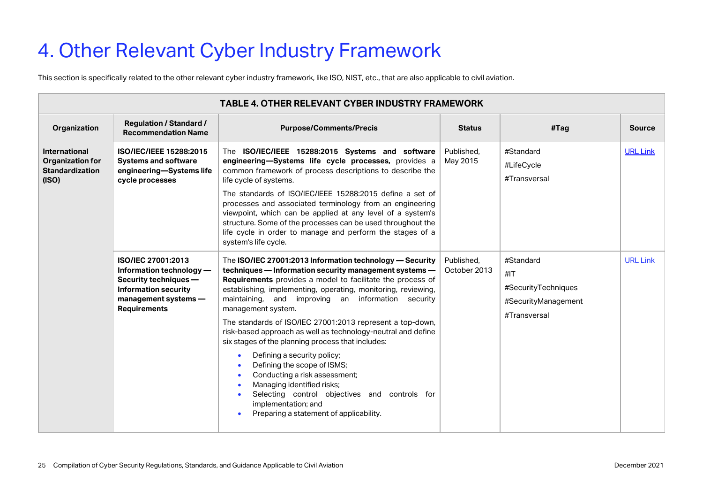# <span id="page-24-0"></span>4. Other Relevant Cyber Industry Framework

This section is specifically related to the other relevant cyber industry framework, like ISO, NIST, etc., that are also applicable to civil aviation.

|                                                                             | <b>TABLE 4. OTHER RELEVANT CYBER INDUSTRY FRAMEWORK</b>                                                                                               |                                                                                                                                                                                                                                                                                                                                                                                                                                                                                                                                                                                                                                                                                                                                                                 |                            |                                                                                |                 |  |
|-----------------------------------------------------------------------------|-------------------------------------------------------------------------------------------------------------------------------------------------------|-----------------------------------------------------------------------------------------------------------------------------------------------------------------------------------------------------------------------------------------------------------------------------------------------------------------------------------------------------------------------------------------------------------------------------------------------------------------------------------------------------------------------------------------------------------------------------------------------------------------------------------------------------------------------------------------------------------------------------------------------------------------|----------------------------|--------------------------------------------------------------------------------|-----------------|--|
| Organization                                                                | <b>Regulation / Standard /</b><br><b>Recommendation Name</b>                                                                                          | <b>Purpose/Comments/Precis</b>                                                                                                                                                                                                                                                                                                                                                                                                                                                                                                                                                                                                                                                                                                                                  | <b>Status</b>              | #Tag                                                                           | <b>Source</b>   |  |
| <b>International</b><br>Organization for<br><b>Standardization</b><br>(ISO) | ISO/IEC/IEEE 15288:2015<br><b>Systems and software</b><br>engineering-Systems life<br>cycle processes                                                 | The ISO/IEC/IEEE 15288:2015 Systems and software<br>engineering-Systems life cycle processes, provides a<br>common framework of process descriptions to describe the<br>life cycle of systems.<br>The standards of ISO/IEC/IEEE 15288:2015 define a set of<br>processes and associated terminology from an engineering<br>viewpoint, which can be applied at any level of a system's<br>structure. Some of the processes can be used throughout the<br>life cycle in order to manage and perform the stages of a<br>system's life cycle.                                                                                                                                                                                                                        | Published.<br>May 2015     | #Standard<br>#LifeCycle<br>#Transversal                                        | <b>URL Link</b> |  |
|                                                                             | ISO/IEC 27001:2013<br>Information technology -<br>Security techniques -<br><b>Information security</b><br>management systems -<br><b>Requirements</b> | The ISO/IEC 27001:2013 Information technology - Security<br>techniques - Information security management systems -<br>Requirements provides a model to facilitate the process of<br>establishing, implementing, operating, monitoring, reviewing,<br>maintaining, and improving an information security<br>management system.<br>The standards of ISO/IEC 27001:2013 represent a top-down,<br>risk-based approach as well as technology-neutral and define<br>six stages of the planning process that includes:<br>Defining a security policy;<br>Defining the scope of ISMS;<br>Conducting a risk assessment;<br>Managing identified risks;<br>Selecting control objectives and controls for<br>implementation; and<br>Preparing a statement of applicability. | Published.<br>October 2013 | #Standard<br>#IT<br>#SecurityTechniques<br>#SecurityManagement<br>#Transversal | <b>URL Link</b> |  |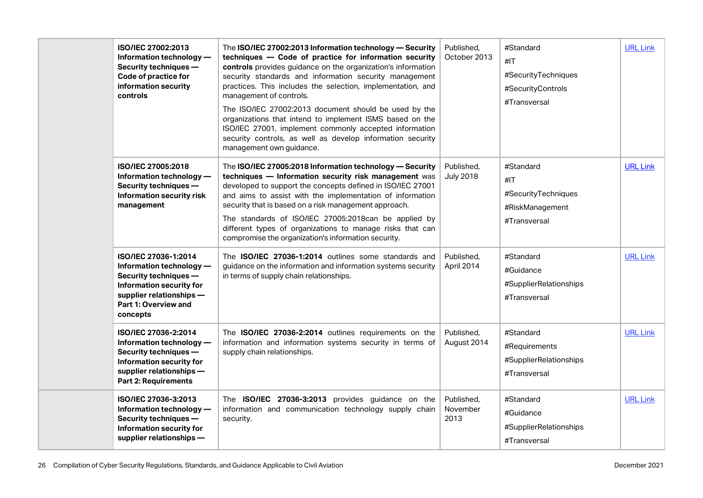|  | ISO/IEC 27002:2013<br>Information technology -<br>Security techniques -<br>Code of practice for<br>information security<br>controls                                   | The ISO/IEC 27002:2013 Information technology - Security<br>techniques - Code of practice for information security<br>controls provides guidance on the organization's information<br>security standards and information security management<br>practices. This includes the selection, implementation, and<br>management of controls.<br>The ISO/IEC 27002:2013 document should be used by the<br>organizations that intend to implement ISMS based on the<br>ISO/IEC 27001, implement commonly accepted information<br>security controls, as well as develop information security<br>management own guidance. | Published.<br>October 2013     | #Standard<br>#IT<br>#SecurityTechniques<br>#SecurityControls<br>#Transversal | <b>URL Link</b> |
|--|-----------------------------------------------------------------------------------------------------------------------------------------------------------------------|-----------------------------------------------------------------------------------------------------------------------------------------------------------------------------------------------------------------------------------------------------------------------------------------------------------------------------------------------------------------------------------------------------------------------------------------------------------------------------------------------------------------------------------------------------------------------------------------------------------------|--------------------------------|------------------------------------------------------------------------------|-----------------|
|  | ISO/IEC 27005:2018<br>Information technology -<br>Security techniques -<br>Information security risk<br>management                                                    | The ISO/IEC 27005:2018 Information technology - Security<br>techniques - Information security risk management was<br>developed to support the concepts defined in ISO/IEC 27001<br>and aims to assist with the implementation of information<br>security that is based on a risk management approach.<br>The standards of ISO/IEC 27005:2018can be applied by<br>different types of organizations to manage risks that can<br>compromise the organization's information security.                                                                                                                               | Published,<br><b>July 2018</b> | #Standard<br>#IT<br>#SecurityTechniques<br>#RiskManagement<br>#Transversal   | <b>URL Link</b> |
|  | ISO/IEC 27036-1:2014<br>Information technology -<br>Security techniques -<br>Information security for<br>supplier relationships -<br>Part 1: Overview and<br>concepts | The ISO/IEC 27036-1:2014 outlines some standards and<br>guidance on the information and information systems security<br>in terms of supply chain relationships.                                                                                                                                                                                                                                                                                                                                                                                                                                                 | Published,<br>April 2014       | #Standard<br>#Guidance<br>#SupplierRelationships<br>#Transversal             | <b>URL Link</b> |
|  | ISO/IEC 27036-2:2014<br>Information technology -<br>Security techniques -<br>Information security for<br>supplier relationships -<br><b>Part 2: Requirements</b>      | The ISO/IEC 27036-2:2014 outlines requirements on the<br>information and information systems security in terms of<br>supply chain relationships.                                                                                                                                                                                                                                                                                                                                                                                                                                                                | Published,<br>August 2014      | #Standard<br>#Requirements<br>#SupplierRelationships<br>#Transversal         | <b>URL Link</b> |
|  | ISO/IEC 27036-3:2013<br>Information technology -<br>Security techniques -<br>Information security for<br>supplier relationships -                                     | The ISO/IEC 27036-3:2013 provides guidance on the<br>information and communication technology supply chain<br>security.                                                                                                                                                                                                                                                                                                                                                                                                                                                                                         | Published,<br>November<br>2013 | #Standard<br>#Guidance<br>#SupplierRelationships<br>#Transversal             | <b>URL Link</b> |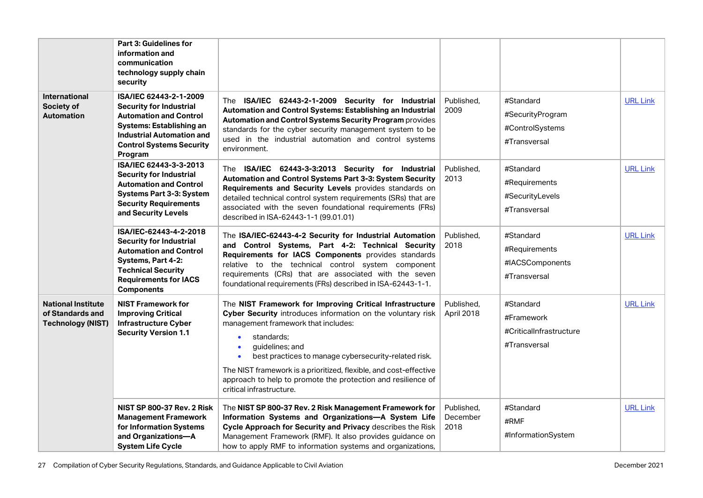|                                                                           | <b>Part 3: Guidelines for</b><br>information and<br>communication<br>technology supply chain<br>security                                                                                                |                                                                                                                                                                                                                                                                                                                                                                                                                                                                 |                                |                                                                    |                 |
|---------------------------------------------------------------------------|---------------------------------------------------------------------------------------------------------------------------------------------------------------------------------------------------------|-----------------------------------------------------------------------------------------------------------------------------------------------------------------------------------------------------------------------------------------------------------------------------------------------------------------------------------------------------------------------------------------------------------------------------------------------------------------|--------------------------------|--------------------------------------------------------------------|-----------------|
| <b>International</b><br>Society of<br><b>Automation</b>                   | ISA/IEC 62443-2-1-2009<br><b>Security for Industrial</b><br><b>Automation and Control</b><br>Systems: Establishing an<br><b>Industrial Automation and</b><br><b>Control Systems Security</b><br>Program | The ISA/IEC 62443-2-1-2009 Security for Industrial<br>Automation and Control Systems: Establishing an Industrial<br>Automation and Control Systems Security Program provides<br>standards for the cyber security management system to be<br>used in the industrial automation and control systems<br>environment.                                                                                                                                               | Published.<br>2009             | #Standard<br>#SecurityProgram<br>#ControlSystems<br>#Transversal   | <b>URL Link</b> |
|                                                                           | ISA/IEC 62443-3-3-2013<br><b>Security for Industrial</b><br><b>Automation and Control</b><br><b>Systems Part 3-3: System</b><br><b>Security Requirements</b><br>and Security Levels                     | The ISA/IEC 62443-3-3:2013 Security for Industrial<br>Automation and Control Systems Part 3-3: System Security<br>Requirements and Security Levels provides standards on<br>detailed technical control system requirements (SRs) that are<br>associated with the seven foundational requirements (FRs)<br>described in ISA-62443-1-1 (99.01.01)                                                                                                                 | Published,<br>2013             | #Standard<br>#Requirements<br>#SecurityLevels<br>#Transversal      | <b>URL Link</b> |
|                                                                           | ISA/IEC-62443-4-2-2018<br><b>Security for Industrial</b><br><b>Automation and Control</b><br>Systems, Part 4-2:<br><b>Technical Security</b><br><b>Requirements for IACS</b><br><b>Components</b>       | The ISA/IEC-62443-4-2 Security for Industrial Automation<br>and Control Systems, Part 4-2: Technical Security<br>Requirements for IACS Components provides standards<br>relative to the technical control system component<br>requirements (CRs) that are associated with the seven<br>foundational requirements (FRs) described in ISA-62443-1-1.                                                                                                              | Published.<br>2018             | #Standard<br>#Requirements<br>#IACSComponents<br>#Transversal      | <b>URL Link</b> |
| <b>National Institute</b><br>of Standards and<br><b>Technology (NIST)</b> | <b>NIST Framework for</b><br><b>Improving Critical</b><br><b>Infrastructure Cyber</b><br><b>Security Version 1.1</b>                                                                                    | The NIST Framework for Improving Critical Infrastructure<br>Cyber Security introduces information on the voluntary risk<br>management framework that includes:<br>standards;<br>$\bullet$<br>guidelines; and<br>$\bullet$<br>best practices to manage cybersecurity-related risk.<br>$\bullet$<br>The NIST framework is a prioritized, flexible, and cost-effective<br>approach to help to promote the protection and resilience of<br>critical infrastructure. | Published,<br>April 2018       | #Standard<br>#Framework<br>#CriticalInfrastructure<br>#Transversal | <b>URL Link</b> |
|                                                                           | <b>NIST SP 800-37 Rev. 2 Risk</b><br><b>Management Framework</b><br>for Information Systems<br>and Organizations-A<br><b>System Life Cycle</b>                                                          | The NIST SP 800-37 Rev. 2 Risk Management Framework for<br>Information Systems and Organizations-A System Life<br>Cycle Approach for Security and Privacy describes the Risk<br>Management Framework (RMF). It also provides guidance on<br>how to apply RMF to information systems and organizations,                                                                                                                                                          | Published.<br>December<br>2018 | #Standard<br>#RMF<br>#InformationSystem                            | <b>URL Link</b> |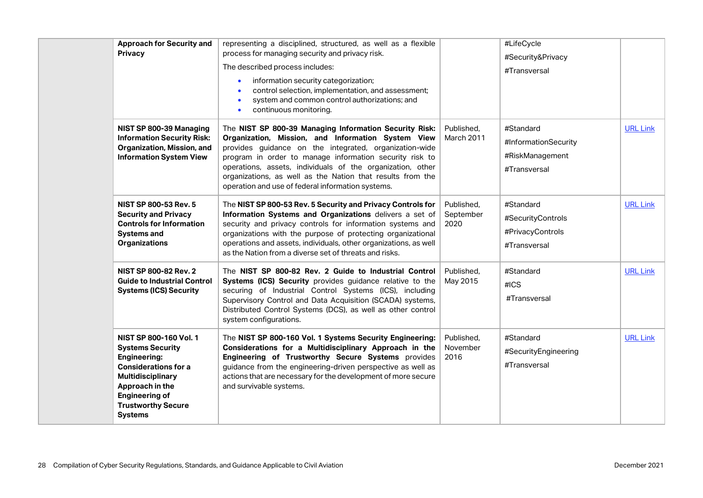| <b>Approach for Security and</b><br><b>Privacy</b>                                                                                                                                                                                    | representing a disciplined, structured, as well as a flexible<br>process for managing security and privacy risk.<br>The described process includes:<br>information security categorization;<br>$\bullet$<br>control selection, implementation, and assessment;<br>system and common control authorizations; and<br>$\bullet$<br>continuous monitoring.<br>$\bullet$                                                |                                 | #LifeCycle<br>#Security&Privacy<br>#Transversal                      |                 |
|---------------------------------------------------------------------------------------------------------------------------------------------------------------------------------------------------------------------------------------|--------------------------------------------------------------------------------------------------------------------------------------------------------------------------------------------------------------------------------------------------------------------------------------------------------------------------------------------------------------------------------------------------------------------|---------------------------------|----------------------------------------------------------------------|-----------------|
| NIST SP 800-39 Managing<br><b>Information Security Risk:</b><br>Organization, Mission, and<br><b>Information System View</b>                                                                                                          | The NIST SP 800-39 Managing Information Security Risk:<br>Organization, Mission, and Information System View<br>provides guidance on the integrated, organization-wide<br>program in order to manage information security risk to<br>operations, assets, individuals of the organization, other<br>organizations, as well as the Nation that results from the<br>operation and use of federal information systems. | Published,<br>March 2011        | #Standard<br>#InformationSecurity<br>#RiskManagement<br>#Transversal | <b>URL Link</b> |
| <b>NIST SP 800-53 Rev. 5</b><br><b>Security and Privacy</b><br><b>Controls for Information</b><br><b>Systems and</b><br><b>Organizations</b>                                                                                          | The NIST SP 800-53 Rev. 5 Security and Privacy Controls for<br>Information Systems and Organizations delivers a set of<br>security and privacy controls for information systems and<br>organizations with the purpose of protecting organizational<br>operations and assets, individuals, other organizations, as well<br>as the Nation from a diverse set of threats and risks.                                   | Published,<br>September<br>2020 | #Standard<br>#SecurityControls<br>#PrivacyControls<br>#Transversal   | <b>URL Link</b> |
| <b>NIST SP 800-82 Rev. 2</b><br><b>Guide to Industrial Control</b><br><b>Systems (ICS) Security</b>                                                                                                                                   | The NIST SP 800-82 Rev. 2 Guide to Industrial Control<br>Systems (ICS) Security provides guidance relative to the<br>securing of Industrial Control Systems (ICS), including<br>Supervisory Control and Data Acquisition (SCADA) systems,<br>Distributed Control Systems (DCS), as well as other control<br>system configurations.                                                                                 | Published,<br>May 2015          | #Standard<br>#ICS<br>#Transversal                                    | <b>URL Link</b> |
| <b>NIST SP 800-160 Vol. 1</b><br><b>Systems Security</b><br><b>Engineering:</b><br><b>Considerations for a</b><br><b>Multidisciplinary</b><br>Approach in the<br><b>Engineering of</b><br><b>Trustworthy Secure</b><br><b>Systems</b> | The NIST SP 800-160 Vol. 1 Systems Security Engineering:<br>Considerations for a Multidisciplinary Approach in the<br>Engineering of Trustworthy Secure Systems provides<br>guidance from the engineering-driven perspective as well as<br>actions that are necessary for the development of more secure<br>and survivable systems.                                                                                | Published,<br>November<br>2016  | #Standard<br>#SecurityEngineering<br>#Transversal                    | <b>URL Link</b> |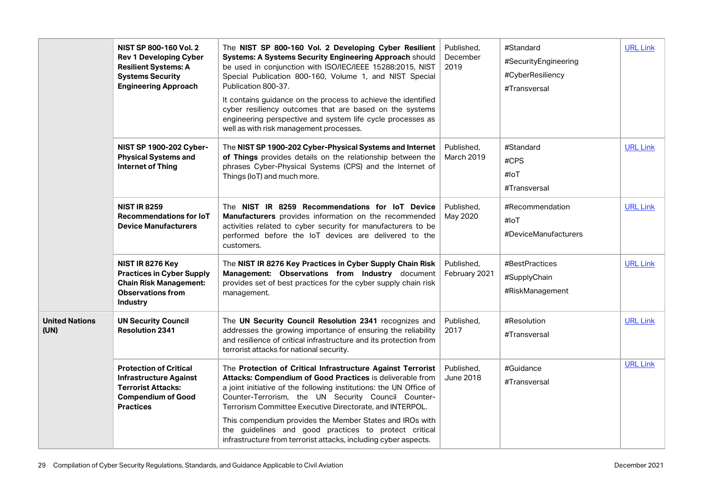|                               | <b>NIST SP 800-160 Vol. 2</b><br><b>Rev 1 Developing Cyber</b><br><b>Resilient Systems: A</b><br><b>Systems Security</b><br><b>Engineering Approach</b> | The NIST SP 800-160 Vol. 2 Developing Cyber Resilient<br>Systems: A Systems Security Engineering Approach should<br>be used in conjunction with ISO/IEC/IEEE 15288:2015, NIST<br>Special Publication 800-160, Volume 1, and NIST Special<br>Publication 800-37.<br>It contains guidance on the process to achieve the identified<br>cyber resiliency outcomes that are based on the systems<br>engineering perspective and system life cycle processes as<br>well as with risk management processes.      | Published.<br>December<br>2019  | #Standard<br>#SecurityEngineering<br>#CyberResiliency<br>#Transversal | <b>URL Link</b> |
|-------------------------------|---------------------------------------------------------------------------------------------------------------------------------------------------------|-----------------------------------------------------------------------------------------------------------------------------------------------------------------------------------------------------------------------------------------------------------------------------------------------------------------------------------------------------------------------------------------------------------------------------------------------------------------------------------------------------------|---------------------------------|-----------------------------------------------------------------------|-----------------|
|                               | NIST SP 1900-202 Cyber-<br><b>Physical Systems and</b><br><b>Internet of Thing</b>                                                                      | The NIST SP 1900-202 Cyber-Physical Systems and Internet<br>of Things provides details on the relationship between the<br>phrases Cyber-Physical Systems (CPS) and the Internet of<br>Things (IoT) and much more.                                                                                                                                                                                                                                                                                         | Published,<br><b>March 2019</b> | #Standard<br>#CPS<br>#loT<br>#Transversal                             | <b>URL Link</b> |
|                               | <b>NIST IR 8259</b><br><b>Recommendations for IoT</b><br><b>Device Manufacturers</b>                                                                    | The NIST IR 8259 Recommendations for IoT Device<br>Manufacturers provides information on the recommended<br>activities related to cyber security for manufacturers to be<br>performed before the IoT devices are delivered to the<br>customers.                                                                                                                                                                                                                                                           | Published.<br>May 2020          | #Recommendation<br>#IOT<br>#DeviceManufacturers                       | <b>URL Link</b> |
|                               | NIST IR 8276 Key<br><b>Practices in Cyber Supply</b><br><b>Chain Risk Management:</b><br><b>Observations from</b><br><b>Industry</b>                    | The NIST IR 8276 Key Practices in Cyber Supply Chain Risk<br>Management: Observations from Industry document<br>provides set of best practices for the cyber supply chain risk<br>management.                                                                                                                                                                                                                                                                                                             | Published.<br>February 2021     | #BestPractices<br>#SupplyChain<br>#RiskManagement                     | <b>URL Link</b> |
| <b>United Nations</b><br>(UN) | <b>UN Security Council</b><br><b>Resolution 2341</b>                                                                                                    | The UN Security Council Resolution 2341 recognizes and<br>addresses the growing importance of ensuring the reliability<br>and resilience of critical infrastructure and its protection from<br>terrorist attacks for national security.                                                                                                                                                                                                                                                                   | Published.<br>2017              | #Resolution<br>#Transversal                                           | <b>URL Link</b> |
|                               | <b>Protection of Critical</b><br><b>Infrastructure Against</b><br><b>Terrorist Attacks:</b><br><b>Compendium of Good</b><br><b>Practices</b>            | The Protection of Critical Infrastructure Against Terrorist<br>Attacks: Compendium of Good Practices is deliverable from<br>a joint initiative of the following institutions: the UN Office of<br>Counter-Terrorism, the UN Security Council Counter-<br>Terrorism Committee Executive Directorate, and INTERPOL.<br>This compendium provides the Member States and IROs with<br>the guidelines and good practices to protect critical<br>infrastructure from terrorist attacks, including cyber aspects. | Published.<br>June 2018         | #Guidance<br>#Transversal                                             | <b>URL Link</b> |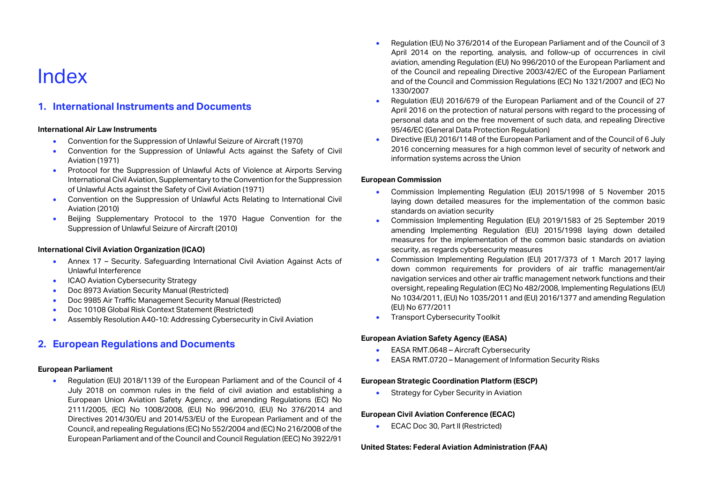### <span id="page-29-0"></span>Index

### **1. International Instruments and Documents**

#### **International Air Law Instruments**

- Convention for the Suppression of Unlawful Seizure of Aircraft (1970)
- Convention for the Suppression of Unlawful Acts against the Safety of Civil Aviation (1971)
- Protocol for the Suppression of Unlawful Acts of Violence at Airports Serving International Civil Aviation, Supplementary to the Convention for the Suppression of Unlawful Acts against the Safety of Civil Aviation (1971)
- Convention on the Suppression of Unlawful Acts Relating to International Civil Aviation (2010)
- Beijing Supplementary Protocol to the 1970 Hague Convention for the Suppression of Unlawful Seizure of Aircraft (2010)

#### **International Civil Aviation Organization (ICAO)**

- Annex 17 Security. Safeguarding International Civil Aviation Against Acts of Unlawful Interference
- ICAO Aviation Cybersecurity Strategy
- Doc 8973 Aviation Security Manual (Restricted)
- Doc 9985 Air Traffic Management Security Manual (Restricted)
- Doc 10108 Global Risk Context Statement (Restricted)
- Assembly Resolution A40-10: Addressing Cybersecurity in Civil Aviation

### **2. European Regulations and Documents**

#### **European Parliament**

• Regulation (EU) 2018/1139 of the European Parliament and of the Council of 4 July 2018 on common rules in the field of civil aviation and establishing a European Union Aviation Safety Agency, and amending Regulations (EC) No 2111/2005, (EC) No 1008/2008, (EU) No 996/2010, (EU) No 376/2014 and Directives 2014/30/EU and 2014/53/EU of the European Parliament and of the Council, and repealing Regulations (EC) No 552/2004 and (EC) No 216/2008 of the European Parliament and of the Council and Council Regulation (EEC) No 3922/91

- Regulation (EU) No 376/2014 of the European Parliament and of the Council of 3 April 2014 on the reporting, analysis, and follow-up of occurrences in civil aviation, amending Regulation (EU) No 996/2010 of the European Parliament and of the Council and repealing Directive 2003/42/EC of the European Parliament and of the Council and Commission Regulations (EC) No 1321/2007 and (EC) No 1330/2007
- Regulation (EU) 2016/679 of the European Parliament and of the Council of 27 April 2016 on the protection of natural persons with regard to the processing of personal data and on the free movement of such data, and repealing Directive 95/46/EC (General Data Protection Regulation)
- Directive (EU) 2016/1148 of the European Parliament and of the Council of 6 July 2016 concerning measures for a high common level of security of network and information systems across the Union

#### **European Commission**

- Commission Implementing Regulation (EU) 2015/1998 of 5 November 2015 laying down detailed measures for the implementation of the common basic standards on aviation security
- Commission Implementing Regulation (EU) 2019/1583 of 25 September 2019 amending Implementing Regulation (EU) 2015/1998 laying down detailed measures for the implementation of the common basic standards on aviation security, as regards cybersecurity measures
- Commission Implementing Regulation (EU) 2017/373 of 1 March 2017 laying down common requirements for providers of air traffic management/air navigation services and other air traffic management network functions and their oversight, repealing Regulation (EC) No 482/2008, Implementing Regulations (EU) No 1034/2011, (EU) No 1035/2011 and (EU) 2016/1377 and amending Regulation (EU) No 677/2011
- Transport Cybersecurity Toolkit

#### **European Aviation Safety Agency (EASA)**

- EASA RMT.0648 Aircraft Cybersecurity
- EASA RMT.0720 Management of Information Security Risks

#### **European Strategic Coordination Platform (ESCP)**

**Strategy for Cyber Security in Aviation** 

#### **European Civil Aviation Conference (ECAC)**

• ECAC Doc 30, Part II (Restricted)

#### **United States: Federal Aviation Administration (FAA)**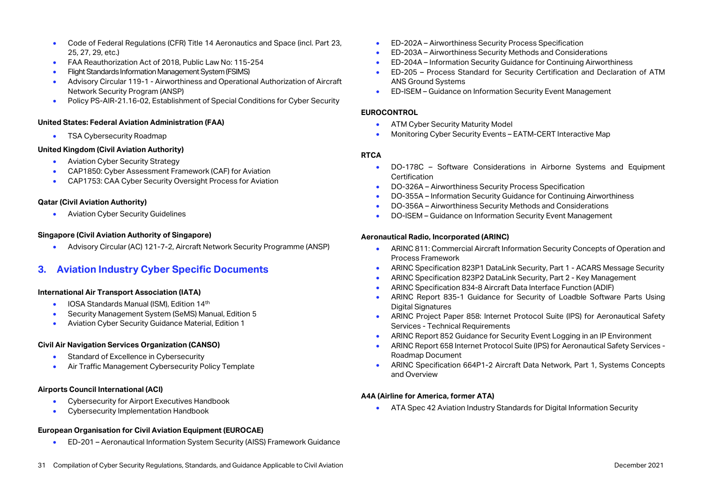- Code of Federal Regulations (CFR) Title 14 Aeronautics and Space (incl. Part 23, 25, 27, 29, etc.)
- FAA Reauthorization Act of 2018, Public Law No: 115-254
- Flight Standards Information Management System (FSIMS)
- Advisory Circular 119-1 Airworthiness and Operational Authorization of Aircraft Network Security Program (ANSP)
- Policy PS-AIR-21.16-02, Establishment of Special Conditions for Cyber Security

#### **United States: Federal Aviation Administration (FAA)**

• TSA Cybersecurity Roadmap

#### **United Kingdom (Civil Aviation Authority)**

- Aviation Cyber Security Strategy
- CAP1850: Cyber Assessment Framework (CAF) for Aviation
- CAP1753: CAA Cyber Security Oversight Process for Aviation

#### **Qatar (Civil Aviation Authority)**

• Aviation Cyber Security Guidelines

#### **Singapore (Civil Aviation Authority of Singapore)**

• Advisory Circular (AC) 121-7-2, Aircraft Network Security Programme (ANSP)

### **3. Aviation Industry Cyber Specific Documents**

#### **International Air Transport Association (IATA)**

- IOSA Standards Manual (ISM), Edition 14<sup>th</sup>
- Security Management System (SeMS) Manual, Edition 5
- Aviation Cyber Security Guidance Material, Edition 1

#### **Civil Air Navigation Services Organization (CANSO)**

- Standard of Excellence in Cybersecurity
- Air Traffic Management Cybersecurity Policy Template

#### **Airports Council International (ACI)**

- Cybersecurity for Airport Executives Handbook
- Cybersecurity Implementation Handbook

#### **European Organisation for Civil Aviation Equipment (EUROCAE)**

• ED-201 – Aeronautical Information System Security (AISS) Framework Guidance

- ED-202A Airworthiness Security Process Specification
- ED-203A Airworthiness Security Methods and Considerations
- ED-204A Information Security Guidance for Continuing Airworthiness
- ED-205 Process Standard for Security Certification and Declaration of ATM ANS Ground Systems
- ED-ISEM Guidance on Information Security Event Management

#### **EUROCONTROL**

- ATM Cyber Security Maturity Model
- Monitoring Cyber Security Events EATM-CERT Interactive Map

#### **RTCA**

- DO-178C Software Considerations in Airborne Systems and Equipment Certification
- DO-326A Airworthiness Security Process Specification
- DO-355A Information Security Guidance for Continuing Airworthiness
- DO-356A Airworthiness Security Methods and Considerations
- DO-ISEM Guidance on Information Security Event Management

#### **Aeronautical Radio, Incorporated (ARINC)**

- ARINC 811: Commercial Aircraft Information Security Concepts of Operation and Process Framework
- ARINC Specification 823P1 DataLink Security, Part 1 ACARS Message Security
- ARINC Specification 823P2 DataLink Security, Part 2 Key Management
- ARINC Specification 834-8 Aircraft Data Interface Function (ADIF)
- ARINC Report 835-1 Guidance for Security of Loadble Software Parts Using Digital Signatures
- ARINC Project Paper 858: Internet Protocol Suite (IPS) for Aeronautical Safety Services - Technical Requirements
- ARINC Report 852 Guidance for Security Event Logging in an IP Environment
- ARINC Report 658 Internet Protocol Suite (IPS) for Aeronautical Safety Services Roadmap Document
- ARINC Specification 664P1-2 Aircraft Data Network, Part 1, Systems Concepts and Overview

#### **A4A (Airline for America, former ATA)**

• ATA Spec 42 Aviation Industry Standards for Digital Information Security